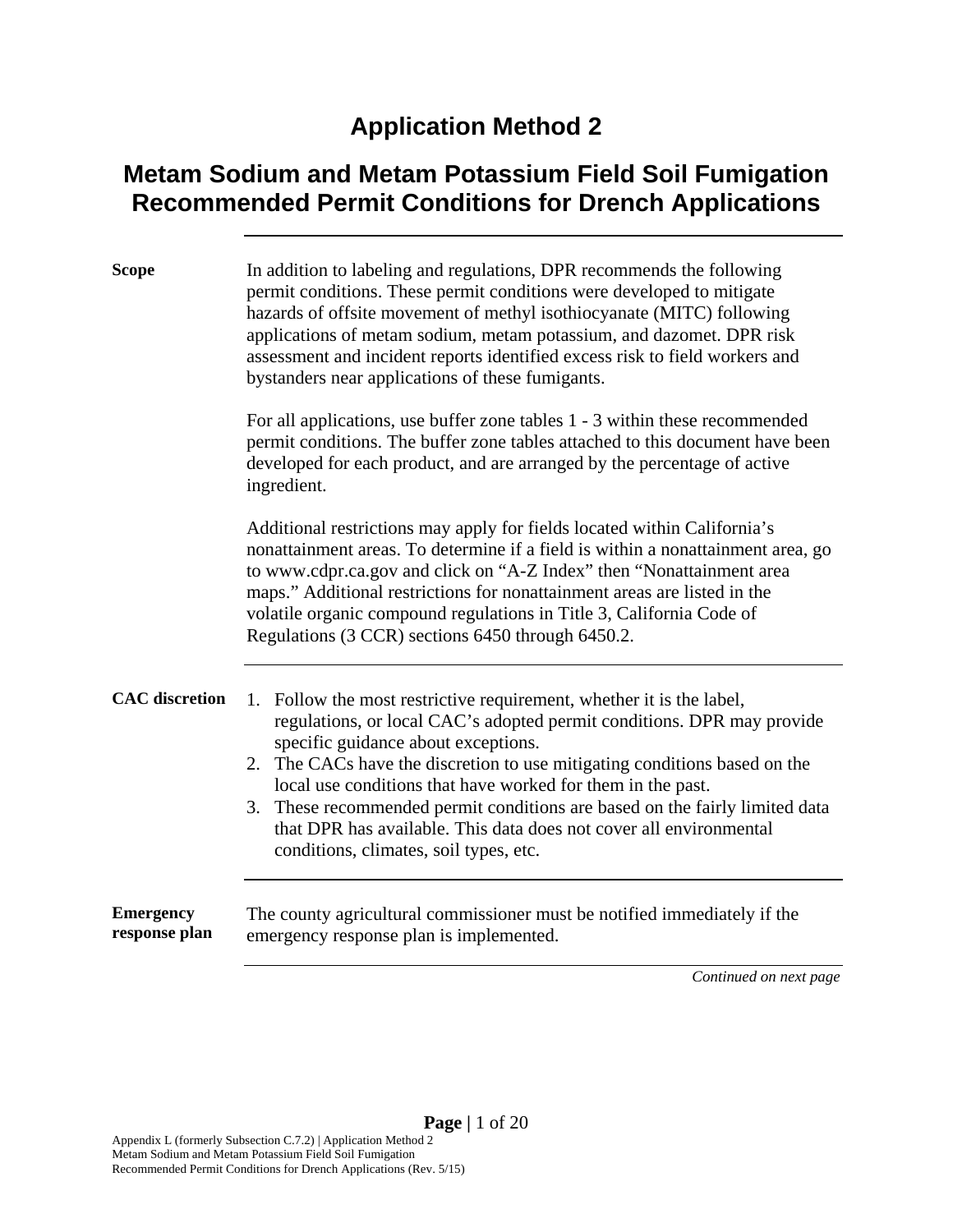### **Application Method 2**

### **Metam Sodium and Metam Potassium Field Soil Fumigation Recommended Permit Conditions for Drench Applications**

| <b>Scope</b>                      | In addition to labeling and regulations, DPR recommends the following<br>permit conditions. These permit conditions were developed to mitigate<br>hazards of offsite movement of methyl isothiocyanate (MITC) following<br>applications of metam sodium, metam potassium, and dazomet. DPR risk<br>assessment and incident reports identified excess risk to field workers and<br>bystanders near applications of these fumigants.                                                                                               |  |  |  |  |  |  |  |
|-----------------------------------|----------------------------------------------------------------------------------------------------------------------------------------------------------------------------------------------------------------------------------------------------------------------------------------------------------------------------------------------------------------------------------------------------------------------------------------------------------------------------------------------------------------------------------|--|--|--|--|--|--|--|
|                                   | For all applications, use buffer zone tables 1 - 3 within these recommended<br>permit conditions. The buffer zone tables attached to this document have been<br>developed for each product, and are arranged by the percentage of active<br>ingredient.                                                                                                                                                                                                                                                                          |  |  |  |  |  |  |  |
|                                   | Additional restrictions may apply for fields located within California's<br>nonattainment areas. To determine if a field is within a nonattainment area, go<br>to www.cdpr.ca.gov and click on "A-Z Index" then "Nonattainment area<br>maps." Additional restrictions for nonattainment areas are listed in the<br>volatile organic compound regulations in Title 3, California Code of<br>Regulations (3 CCR) sections 6450 through 6450.2.                                                                                     |  |  |  |  |  |  |  |
| <b>CAC</b> discretion             | 1. Follow the most restrictive requirement, whether it is the label,<br>regulations, or local CAC's adopted permit conditions. DPR may provide<br>specific guidance about exceptions.<br>2. The CACs have the discretion to use mitigating conditions based on the<br>local use conditions that have worked for them in the past.<br>3. These recommended permit conditions are based on the fairly limited data<br>that DPR has available. This data does not cover all environmental<br>conditions, climates, soil types, etc. |  |  |  |  |  |  |  |
| <b>Emergency</b><br>response plan | The county agricultural commissioner must be notified immediately if the<br>emergency response plan is implemented.                                                                                                                                                                                                                                                                                                                                                                                                              |  |  |  |  |  |  |  |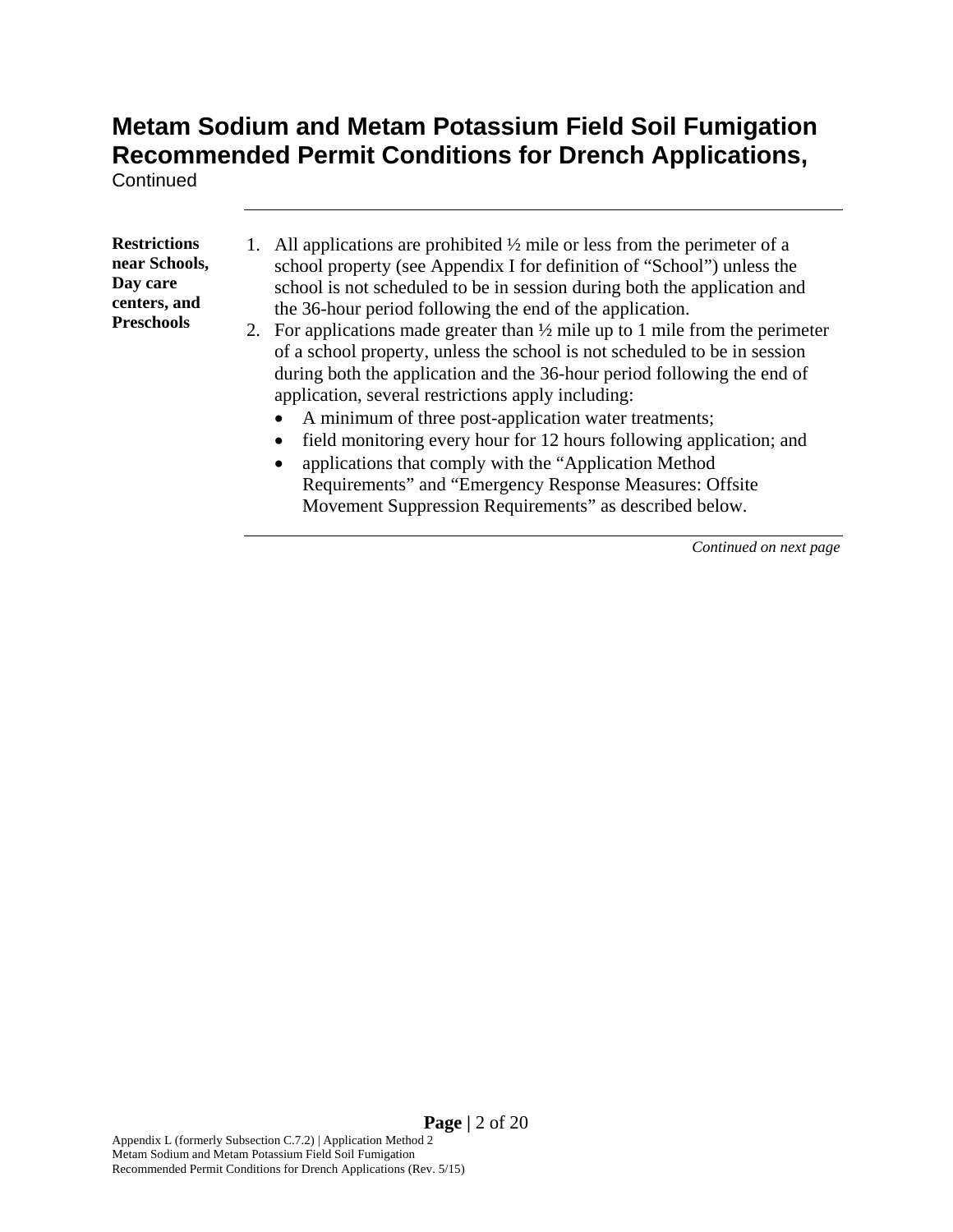**Continued** 

**Restrictions near Schools, Day care centers, and Preschools** 

- 1. All applications are prohibited  $\frac{1}{2}$  mile or less from the perimeter of a school property (see Appendix I for definition of "School") unless the school is not scheduled to be in session during both the application and the 36-hour period following the end of the application.
- 2. For applications made greater than  $\frac{1}{2}$  mile up to 1 mile from the perimeter of a school property, unless the school is not scheduled to be in session during both the application and the 36-hour period following the end of application, several restrictions apply including:
	- A minimum of three post-application water treatments;
	- field monitoring every hour for 12 hours following application; and
	- applications that comply with the "Application Method Requirements" and "Emergency Response Measures: Offsite Movement Suppression Requirements" as described below.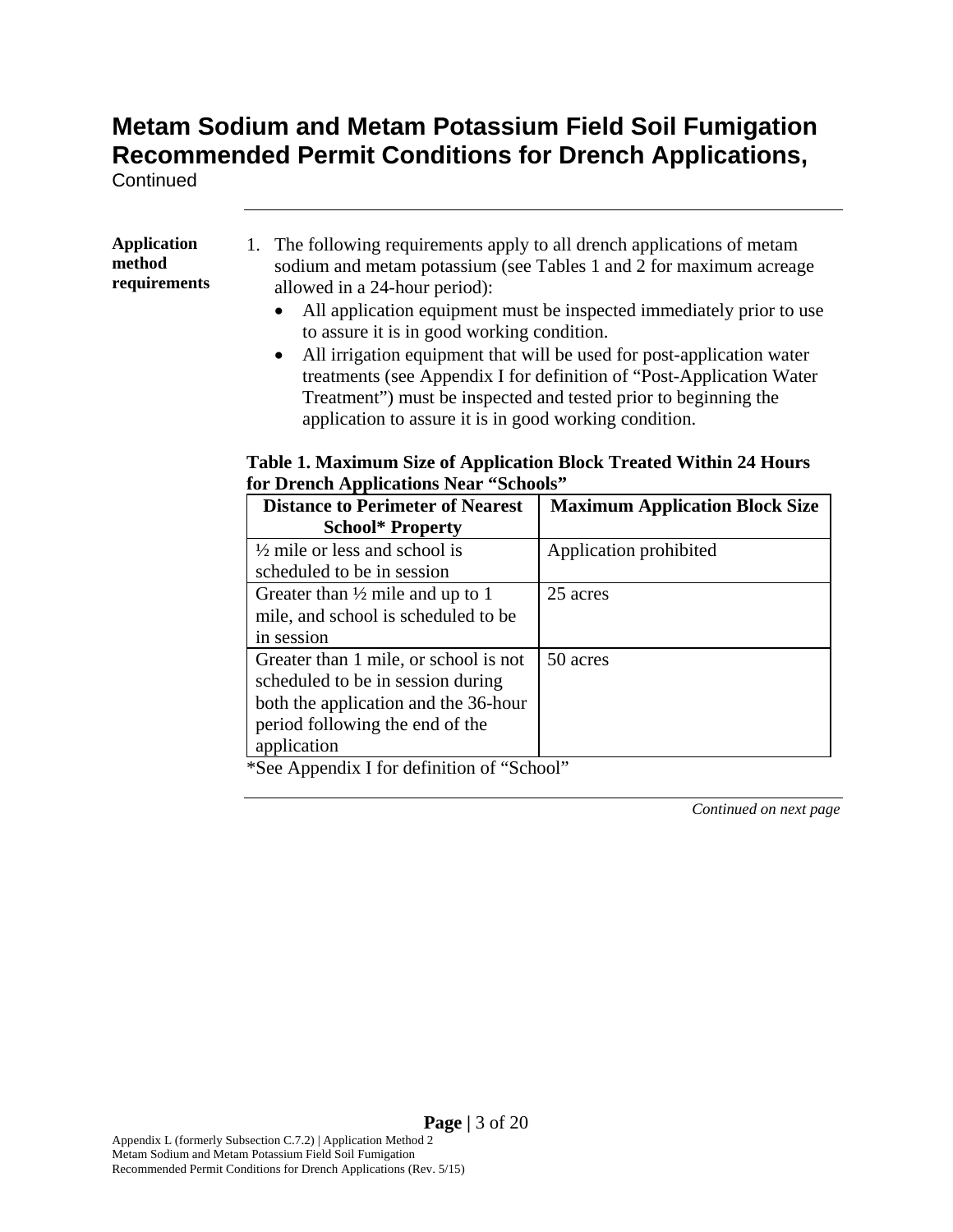**Continued** 

**Application method requirements**  1. The following requirements apply to all drench applications of metam sodium and metam potassium (see Tables 1 and 2 for maximum acreage allowed in a 24-hour period):

- All application equipment must be inspected immediately prior to use to assure it is in good working condition.
- All irrigation equipment that will be used for post-application water treatments (see Appendix I for definition of "Post-Application Water Treatment") must be inspected and tested prior to beginning the application to assure it is in good working condition.

#### **Table 1. Maximum Size of Application Block Treated Within 24 Hours for Drench Applications Near "Schools"**

| <b>Distance to Perimeter of Nearest</b>     | <b>Maximum Application Block Size</b> |
|---------------------------------------------|---------------------------------------|
| <b>School* Property</b>                     |                                       |
| $\frac{1}{2}$ mile or less and school is    | Application prohibited                |
| scheduled to be in session                  |                                       |
| Greater than $\frac{1}{2}$ mile and up to 1 | 25 acres                              |
| mile, and school is scheduled to be         |                                       |
| in session                                  |                                       |
| Greater than 1 mile, or school is not       | 50 acres                              |
| scheduled to be in session during           |                                       |
| both the application and the 36-hour        |                                       |
| period following the end of the             |                                       |
| application                                 |                                       |

\*See Appendix I for definition of "School"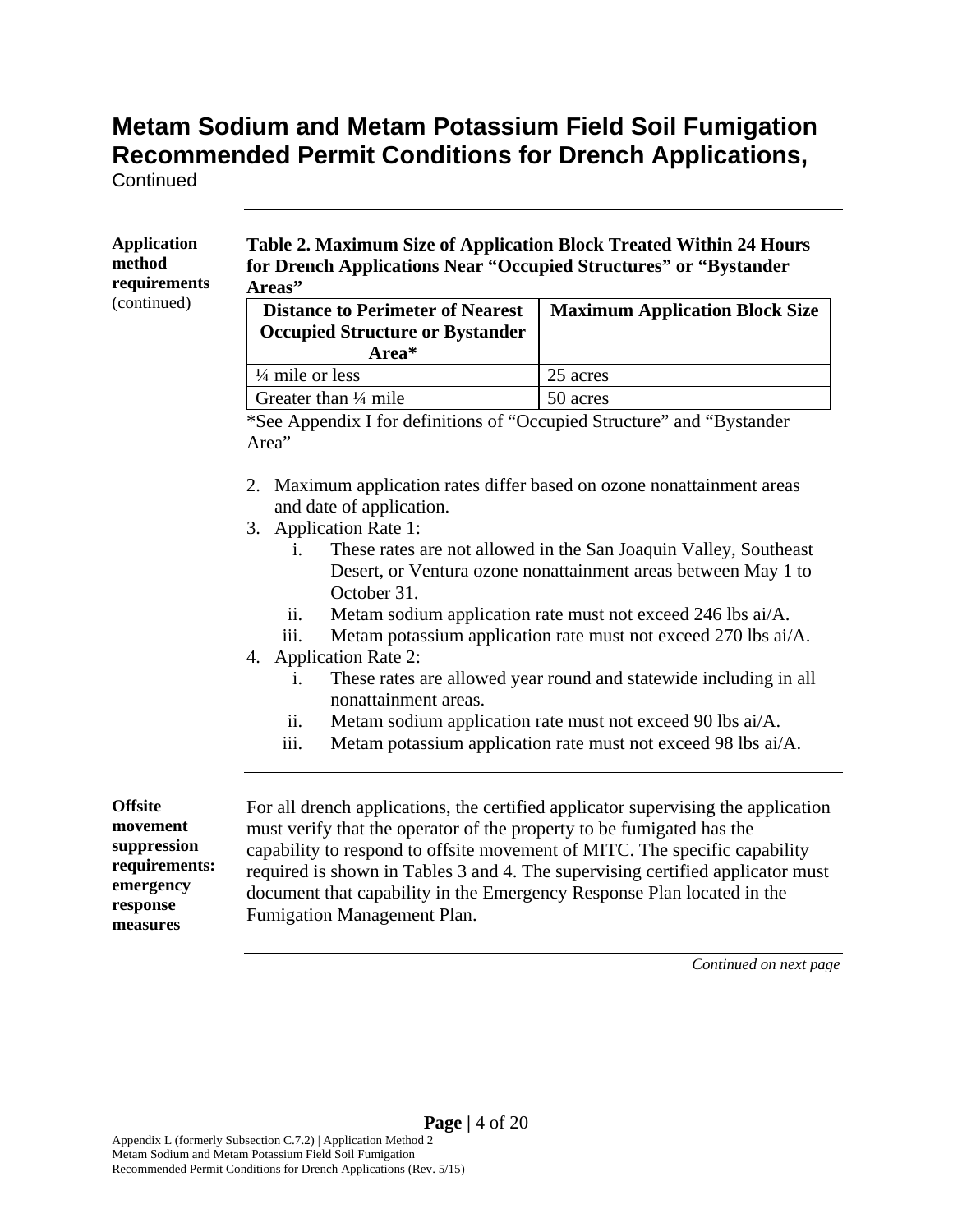**Continued** 

| method<br>requirements<br>(continued)                                                           | for Drench Applications Near "Occupied Structures" or "Bystander<br>Areas"                                                                                                                                                                                                                                         |                                                                                                                                                                     |  |  |  |  |  |
|-------------------------------------------------------------------------------------------------|--------------------------------------------------------------------------------------------------------------------------------------------------------------------------------------------------------------------------------------------------------------------------------------------------------------------|---------------------------------------------------------------------------------------------------------------------------------------------------------------------|--|--|--|--|--|
|                                                                                                 | <b>Distance to Perimeter of Nearest</b><br><b>Occupied Structure or Bystander</b><br>Area*                                                                                                                                                                                                                         | <b>Maximum Application Block Size</b>                                                                                                                               |  |  |  |  |  |
|                                                                                                 | 1/4 mile or less                                                                                                                                                                                                                                                                                                   | 25 acres                                                                                                                                                            |  |  |  |  |  |
|                                                                                                 | Greater than 1/4 mile                                                                                                                                                                                                                                                                                              | 50 acres                                                                                                                                                            |  |  |  |  |  |
|                                                                                                 | *See Appendix I for definitions of "Occupied Structure" and "Bystander<br>Area"                                                                                                                                                                                                                                    |                                                                                                                                                                     |  |  |  |  |  |
|                                                                                                 | Maximum application rates differ based on ozone nonattainment areas<br>2.<br>and date of application.<br>3. Application Rate 1:                                                                                                                                                                                    |                                                                                                                                                                     |  |  |  |  |  |
|                                                                                                 | These rates are not allowed in the San Joaquin Valley, Southeast<br>$\mathbf{i}$ .<br>Desert, or Ventura ozone nonattainment areas between May 1 to<br>October 31.<br>ii.<br>Metam sodium application rate must not exceed 246 lbs ai/A.<br>Metam potassium application rate must not exceed 270 lbs ai/A.<br>iii. |                                                                                                                                                                     |  |  |  |  |  |
|                                                                                                 | <b>Application Rate 2:</b><br>4.<br>These rates are allowed year round and statewide including in all<br>$\mathbf{1}$ .<br>nonattainment areas.<br>Metam sodium application rate must not exceed 90 lbs ai/A.<br>ii.<br>Metam potassium application rate must not exceed 98 lbs ai/A.                              |                                                                                                                                                                     |  |  |  |  |  |
|                                                                                                 | iii.                                                                                                                                                                                                                                                                                                               |                                                                                                                                                                     |  |  |  |  |  |
| <b>Offsite</b><br>movement<br>suppression<br>requirements:<br>emergency<br>response<br>measures | must verify that the operator of the property to be fumigated has the<br>capability to respond to offsite movement of MITC. The specific capability<br>document that capability in the Emergency Response Plan located in the<br>Fumigation Management Plan.                                                       | For all drench applications, the certified applicator supervising the application<br>required is shown in Tables 3 and 4. The supervising certified applicator must |  |  |  |  |  |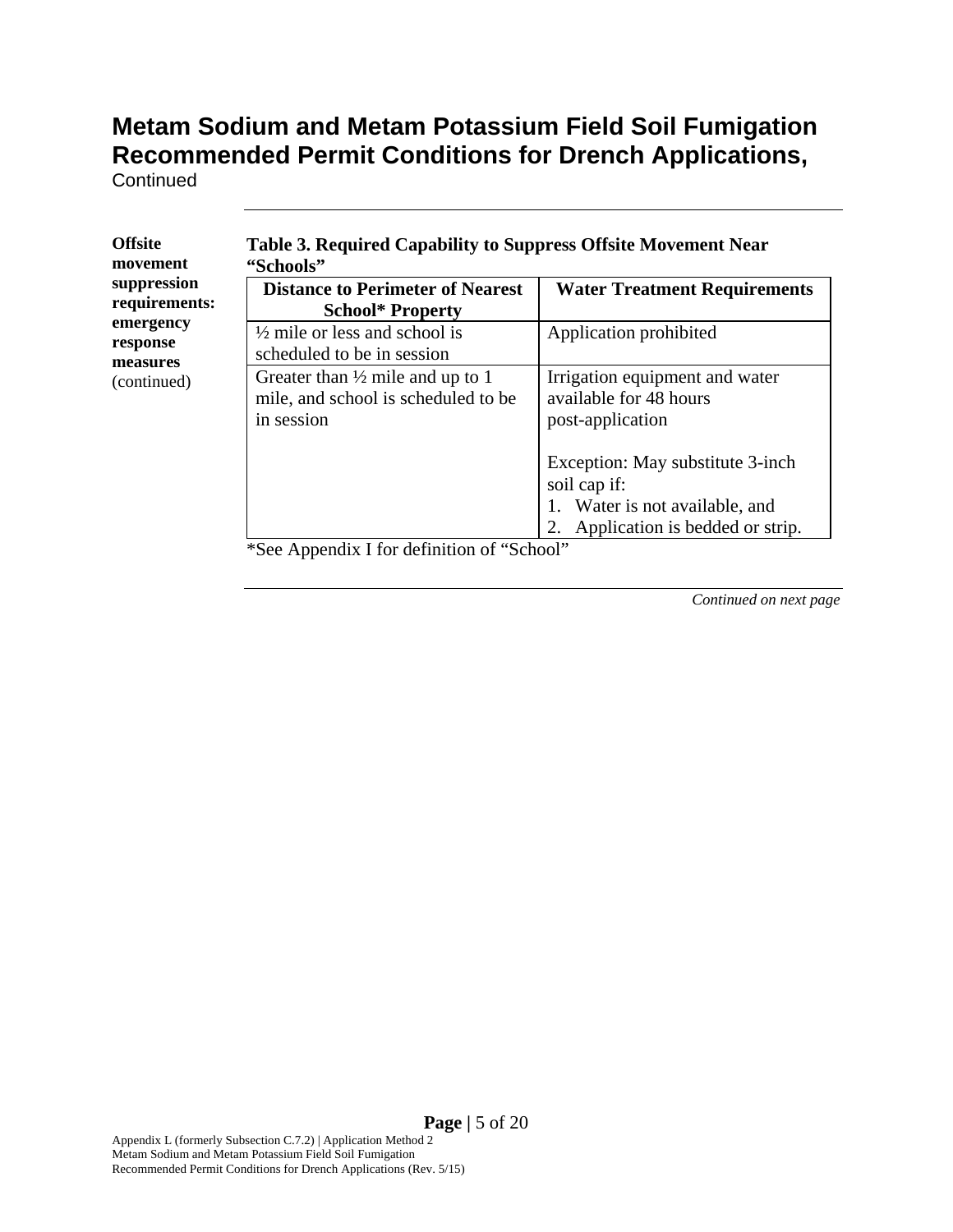**Continued** 

| suppression<br>requirements:<br>emergency<br>response<br>measures<br>(continued) | <b>Distance to Perimeter of Nearest</b><br><b>School* Property</b>                               | <b>Water Treatment Requirements</b>                                                   |  |  |  |  |  |
|----------------------------------------------------------------------------------|--------------------------------------------------------------------------------------------------|---------------------------------------------------------------------------------------|--|--|--|--|--|
|                                                                                  | $\frac{1}{2}$ mile or less and school is<br>scheduled to be in session                           | Application prohibited                                                                |  |  |  |  |  |
|                                                                                  | Greater than $\frac{1}{2}$ mile and up to 1<br>mile, and school is scheduled to be<br>in session | Irrigation equipment and water<br>available for 48 hours<br>post-application          |  |  |  |  |  |
|                                                                                  |                                                                                                  | Exception: May substitute 3-inch<br>soil cap if:<br>Water is not available, and<br>1. |  |  |  |  |  |
|                                                                                  |                                                                                                  | 2. Application is bedded or strip.                                                    |  |  |  |  |  |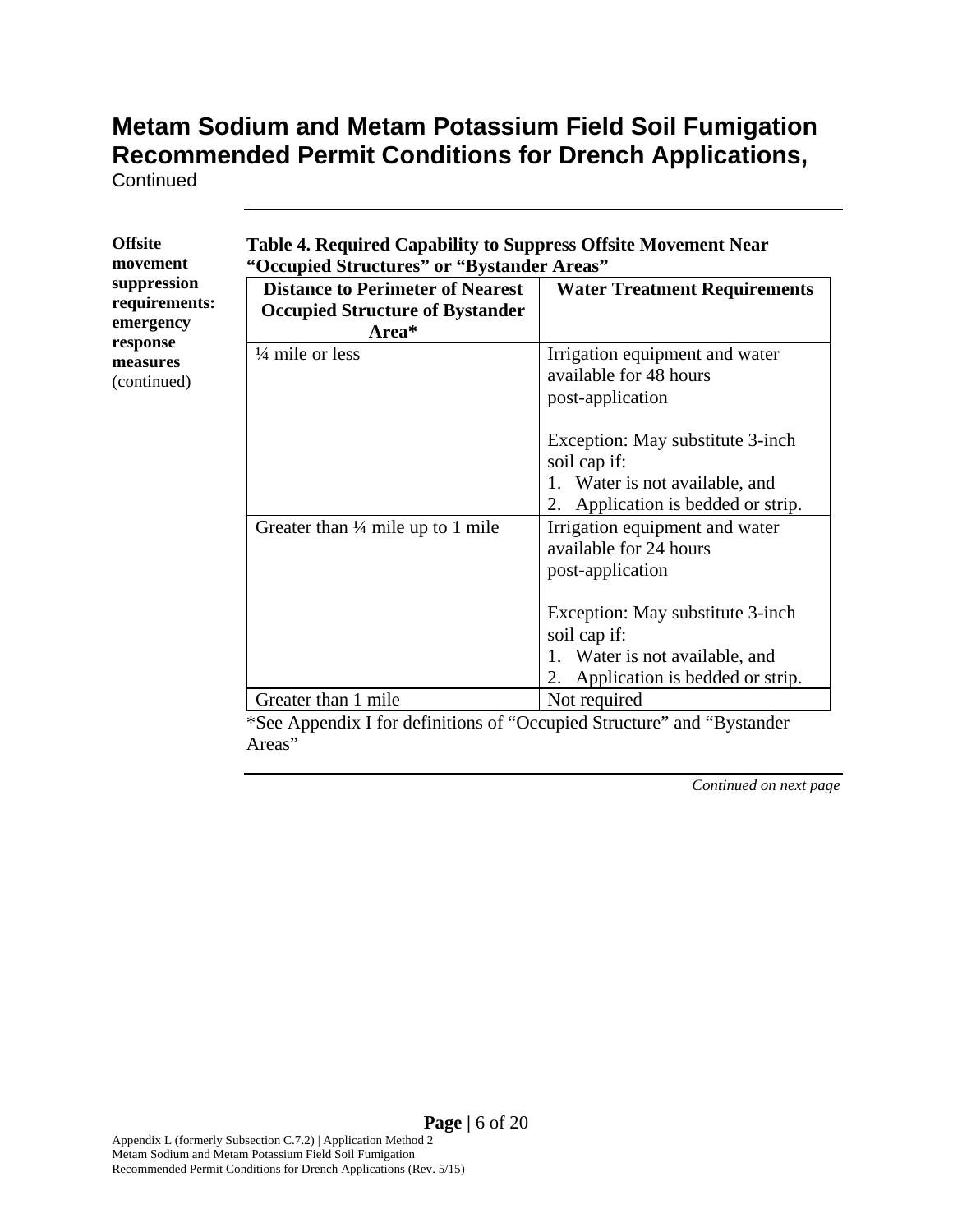**Continued** 

| <b>Offsite</b>                      | Table 4. Required Capability to Suppress Offsite Movement Near                                      |                                                                                                                                                                    |  |  |  |  |  |  |  |  |  |
|-------------------------------------|-----------------------------------------------------------------------------------------------------|--------------------------------------------------------------------------------------------------------------------------------------------------------------------|--|--|--|--|--|--|--|--|--|
| movement                            | "Occupied Structures" or "Bystander Areas"                                                          |                                                                                                                                                                    |  |  |  |  |  |  |  |  |  |
| suppression<br>requirements:        | <b>Distance to Perimeter of Nearest</b><br><b>Occupied Structure of Bystander</b>                   | <b>Water Treatment Requirements</b>                                                                                                                                |  |  |  |  |  |  |  |  |  |
| emergency                           | Area*                                                                                               |                                                                                                                                                                    |  |  |  |  |  |  |  |  |  |
| response<br>measures<br>(continued) | $\frac{1}{4}$ mile or less                                                                          | Irrigation equipment and water<br>available for 48 hours<br>post-application                                                                                       |  |  |  |  |  |  |  |  |  |
|                                     |                                                                                                     | Exception: May substitute 3-inch<br>soil cap if:<br>1. Water is not available, and<br>Application is bedded or strip.<br>2.                                        |  |  |  |  |  |  |  |  |  |
|                                     | Greater than $\frac{1}{4}$ mile up to 1 mile                                                        | Irrigation equipment and water<br>available for 24 hours<br>post-application<br>Exception: May substitute 3-inch<br>soil cap if:<br>1. Water is not available, and |  |  |  |  |  |  |  |  |  |
|                                     |                                                                                                     | Application is bedded or strip.<br>2.                                                                                                                              |  |  |  |  |  |  |  |  |  |
|                                     | Greater than 1 mile<br>$*S_{00}$ Appendix I for definitions of "Occupied Structure" and "Dystender" | Not required                                                                                                                                                       |  |  |  |  |  |  |  |  |  |

\*See Appendix I for definitions of "Occupied Structure" and "Bystander Areas"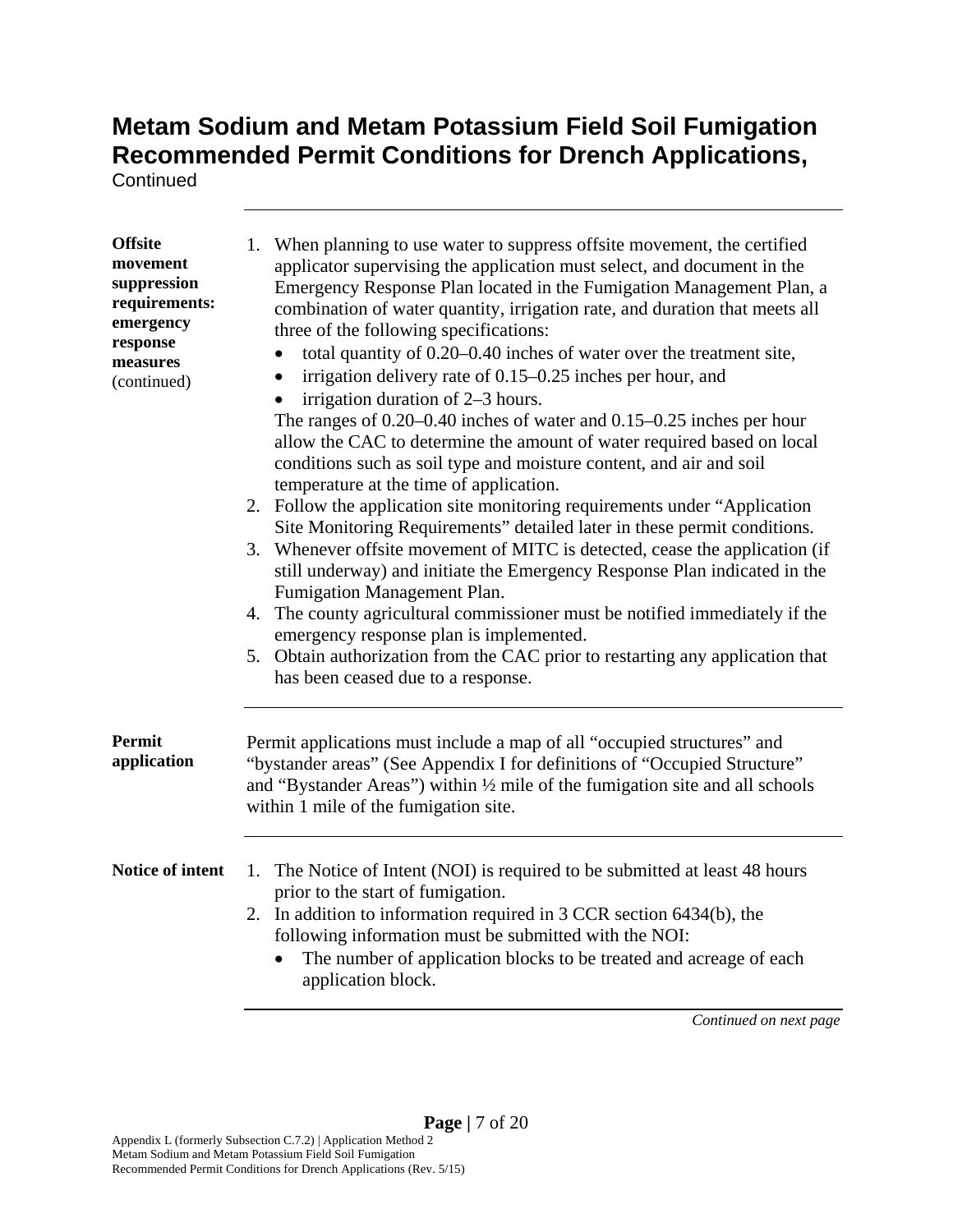**Continued** 

| <b>Offsite</b><br>movement<br>suppression<br>requirements:<br>emergency<br>response<br>measures<br>(continued) | 1. When planning to use water to suppress offsite movement, the certified<br>applicator supervising the application must select, and document in the<br>Emergency Response Plan located in the Fumigation Management Plan, a<br>combination of water quantity, irrigation rate, and duration that meets all<br>three of the following specifications:<br>total quantity of 0.20-0.40 inches of water over the treatment site,<br>irrigation delivery rate of 0.15–0.25 inches per hour, and<br>$\bullet$<br>irrigation duration of 2–3 hours.<br>The ranges of $0.20-0.40$ inches of water and $0.15-0.25$ inches per hour<br>allow the CAC to determine the amount of water required based on local<br>conditions such as soil type and moisture content, and air and soil<br>temperature at the time of application.<br>2. Follow the application site monitoring requirements under "Application"<br>Site Monitoring Requirements" detailed later in these permit conditions.<br>3. Whenever offsite movement of MITC is detected, cease the application (if<br>still underway) and initiate the Emergency Response Plan indicated in the<br>Fumigation Management Plan.<br>4. The county agricultural commissioner must be notified immediately if the<br>emergency response plan is implemented.<br>5. Obtain authorization from the CAC prior to restarting any application that<br>has been ceased due to a response. |  |  |  |  |  |  |  |
|----------------------------------------------------------------------------------------------------------------|------------------------------------------------------------------------------------------------------------------------------------------------------------------------------------------------------------------------------------------------------------------------------------------------------------------------------------------------------------------------------------------------------------------------------------------------------------------------------------------------------------------------------------------------------------------------------------------------------------------------------------------------------------------------------------------------------------------------------------------------------------------------------------------------------------------------------------------------------------------------------------------------------------------------------------------------------------------------------------------------------------------------------------------------------------------------------------------------------------------------------------------------------------------------------------------------------------------------------------------------------------------------------------------------------------------------------------------------------------------------------------------------------------------------------|--|--|--|--|--|--|--|
| <b>Permit</b><br>application                                                                                   | Permit applications must include a map of all "occupied structures" and<br>"bystander areas" (See Appendix I for definitions of "Occupied Structure"<br>and "Bystander Areas") within $\frac{1}{2}$ mile of the fumigation site and all schools<br>within 1 mile of the fumigation site.                                                                                                                                                                                                                                                                                                                                                                                                                                                                                                                                                                                                                                                                                                                                                                                                                                                                                                                                                                                                                                                                                                                                     |  |  |  |  |  |  |  |
| Notice of intent                                                                                               | 1. The Notice of Intent (NOI) is required to be submitted at least 48 hours<br>prior to the start of fumigation.<br>2. In addition to information required in 3 CCR section 6434(b), the<br>following information must be submitted with the NOI:<br>The number of application blocks to be treated and acreage of each<br>application block.<br>Continued on next page                                                                                                                                                                                                                                                                                                                                                                                                                                                                                                                                                                                                                                                                                                                                                                                                                                                                                                                                                                                                                                                      |  |  |  |  |  |  |  |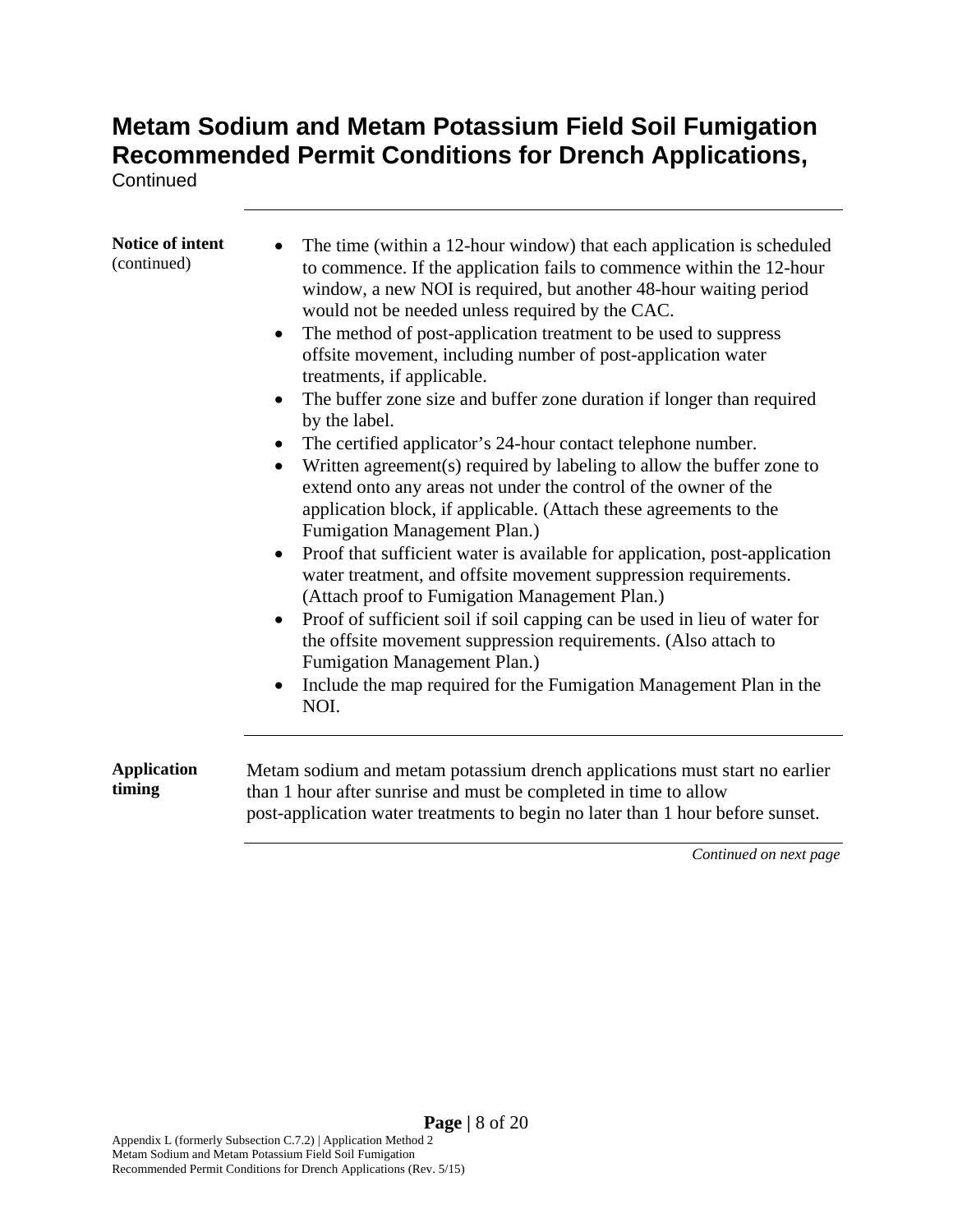**Continued** 

| Notice of intent<br>(continued) | The time (within a 12-hour window) that each application is scheduled<br>to commence. If the application fails to commence within the 12-hour<br>window, a new NOI is required, but another 48-hour waiting period<br>would not be needed unless required by the CAC.<br>The method of post-application treatment to be used to suppress<br>$\bullet$<br>offsite movement, including number of post-application water<br>treatments, if applicable.<br>The buffer zone size and buffer zone duration if longer than required<br>٠<br>by the label.<br>The certified applicator's 24-hour contact telephone number.<br>$\bullet$<br>Written agreement(s) required by labeling to allow the buffer zone to<br>extend onto any areas not under the control of the owner of the<br>application block, if applicable. (Attach these agreements to the<br>Fumigation Management Plan.)<br>Proof that sufficient water is available for application, post-application<br>$\bullet$<br>water treatment, and offsite movement suppression requirements.<br>(Attach proof to Fumigation Management Plan.)<br>Proof of sufficient soil if soil capping can be used in lieu of water for<br>$\bullet$<br>the offsite movement suppression requirements. (Also attach to<br>Fumigation Management Plan.)<br>Include the map required for the Fumigation Management Plan in the<br>$\bullet$<br>NOI. |
|---------------------------------|----------------------------------------------------------------------------------------------------------------------------------------------------------------------------------------------------------------------------------------------------------------------------------------------------------------------------------------------------------------------------------------------------------------------------------------------------------------------------------------------------------------------------------------------------------------------------------------------------------------------------------------------------------------------------------------------------------------------------------------------------------------------------------------------------------------------------------------------------------------------------------------------------------------------------------------------------------------------------------------------------------------------------------------------------------------------------------------------------------------------------------------------------------------------------------------------------------------------------------------------------------------------------------------------------------------------------------------------------------------------------------------|
| <b>Application</b><br>timing    | Metam sodium and metam potassium drench applications must start no earlier<br>than 1 hour after sunrise and must be completed in time to allow<br>post-application water treatments to begin no later than 1 hour before sunset.                                                                                                                                                                                                                                                                                                                                                                                                                                                                                                                                                                                                                                                                                                                                                                                                                                                                                                                                                                                                                                                                                                                                                       |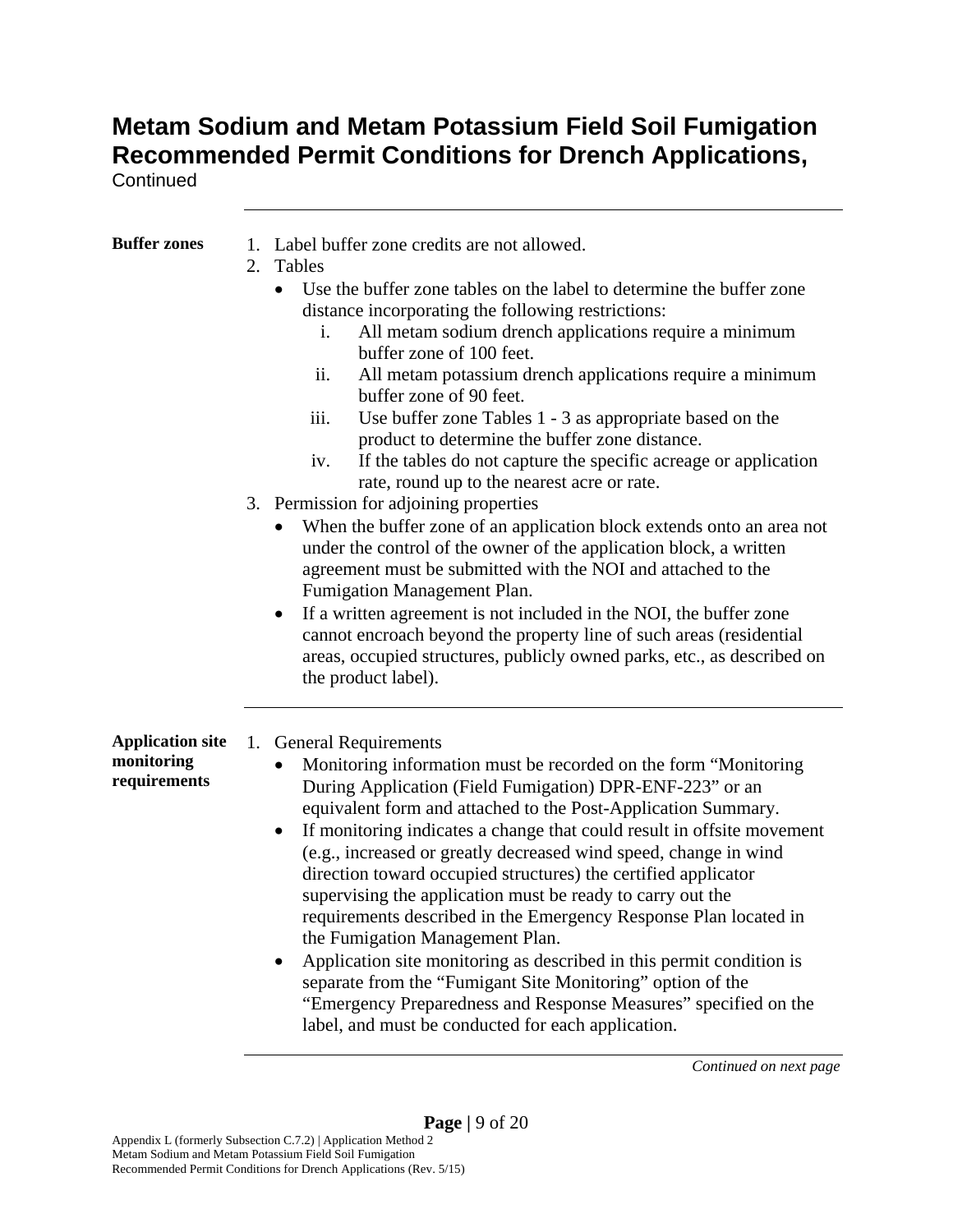**Continued** 

| <b>Buffer zones</b>                                   | 1. Label buffer zone credits are not allowed.<br>2.<br>Tables<br>Use the buffer zone tables on the label to determine the buffer zone<br>distance incorporating the following restrictions:<br>All metam sodium drench applications require a minimum<br>i.<br>buffer zone of 100 feet.<br>ii.<br>All metam potassium drench applications require a minimum<br>buffer zone of 90 feet.<br>Use buffer zone Tables 1 - 3 as appropriate based on the<br>iii.<br>product to determine the buffer zone distance.<br>If the tables do not capture the specific acreage or application<br>iv.<br>rate, round up to the nearest acre or rate.<br>3. Permission for adjoining properties                                                                                                                                                                                                       |
|-------------------------------------------------------|----------------------------------------------------------------------------------------------------------------------------------------------------------------------------------------------------------------------------------------------------------------------------------------------------------------------------------------------------------------------------------------------------------------------------------------------------------------------------------------------------------------------------------------------------------------------------------------------------------------------------------------------------------------------------------------------------------------------------------------------------------------------------------------------------------------------------------------------------------------------------------------|
|                                                       | When the buffer zone of an application block extends onto an area not<br>$\bullet$<br>under the control of the owner of the application block, a written<br>agreement must be submitted with the NOI and attached to the<br>Fumigation Management Plan.<br>If a written agreement is not included in the NOI, the buffer zone<br>cannot encroach beyond the property line of such areas (residential<br>areas, occupied structures, publicly owned parks, etc., as described on<br>the product label).                                                                                                                                                                                                                                                                                                                                                                                 |
| <b>Application site</b><br>monitoring<br>requirements | <b>General Requirements</b><br>1.<br>Monitoring information must be recorded on the form "Monitoring"<br>During Application (Field Fumigation) DPR-ENF-223" or an<br>equivalent form and attached to the Post-Application Summary.<br>If monitoring indicates a change that could result in offsite movement<br>(e.g., increased or greatly decreased wind speed, change in wind<br>direction toward occupied structures) the certified applicator<br>supervising the application must be ready to carry out the<br>requirements described in the Emergency Response Plan located in<br>the Fumigation Management Plan.<br>Application site monitoring as described in this permit condition is<br>separate from the "Fumigant Site Monitoring" option of the<br>"Emergency Preparedness and Response Measures" specified on the<br>label, and must be conducted for each application. |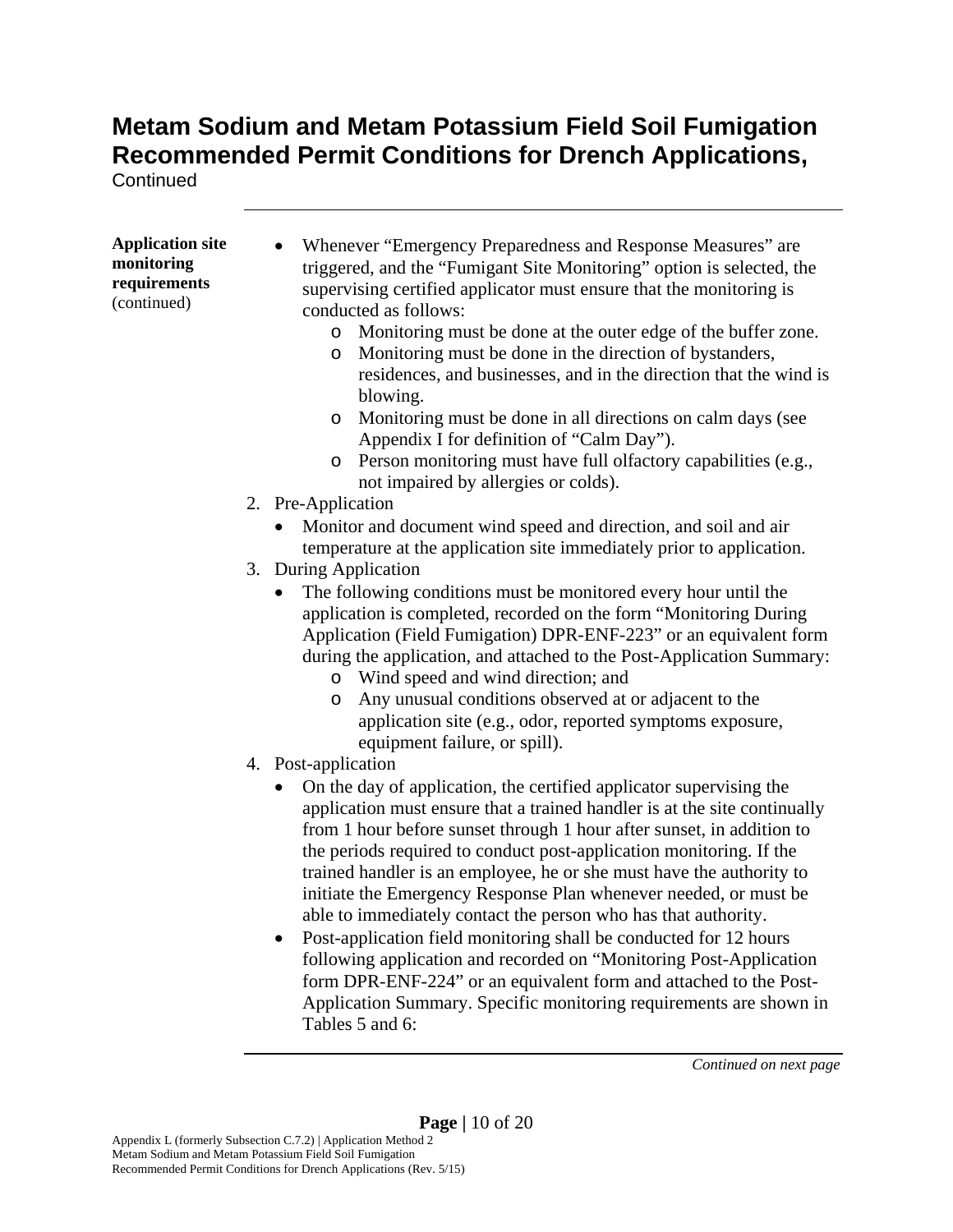**Continued** 

| <b>Application site</b>                   | Whenever "Emergency Preparedness and Response Measures" are                                                                                                                                                                                                                                                                                                                                                                                                                                                                                                                                                                                                                                                                                                                                                                                                      |
|-------------------------------------------|------------------------------------------------------------------------------------------------------------------------------------------------------------------------------------------------------------------------------------------------------------------------------------------------------------------------------------------------------------------------------------------------------------------------------------------------------------------------------------------------------------------------------------------------------------------------------------------------------------------------------------------------------------------------------------------------------------------------------------------------------------------------------------------------------------------------------------------------------------------|
| monitoring<br>requirements<br>(continued) | triggered, and the "Fumigant Site Monitoring" option is selected, the<br>supervising certified applicator must ensure that the monitoring is<br>conducted as follows:<br>Monitoring must be done at the outer edge of the buffer zone.<br>$\circ$<br>Monitoring must be done in the direction of bystanders,<br>$\circ$<br>residences, and businesses, and in the direction that the wind is<br>blowing.<br>Monitoring must be done in all directions on calm days (see<br>$\circ$<br>Appendix I for definition of "Calm Day").<br>o Person monitoring must have full olfactory capabilities (e.g.,<br>not impaired by allergies or colds).                                                                                                                                                                                                                      |
|                                           | 2. Pre-Application                                                                                                                                                                                                                                                                                                                                                                                                                                                                                                                                                                                                                                                                                                                                                                                                                                               |
|                                           | Monitor and document wind speed and direction, and soil and air<br>temperature at the application site immediately prior to application.                                                                                                                                                                                                                                                                                                                                                                                                                                                                                                                                                                                                                                                                                                                         |
|                                           | 3. During Application                                                                                                                                                                                                                                                                                                                                                                                                                                                                                                                                                                                                                                                                                                                                                                                                                                            |
|                                           | The following conditions must be monitored every hour until the<br>$\bullet$<br>application is completed, recorded on the form "Monitoring During<br>Application (Field Fumigation) DPR-ENF-223" or an equivalent form<br>during the application, and attached to the Post-Application Summary:<br>Wind speed and wind direction; and<br>$\circ$<br>Any unusual conditions observed at or adjacent to the<br>O<br>application site (e.g., odor, reported symptoms exposure,<br>equipment failure, or spill).                                                                                                                                                                                                                                                                                                                                                     |
|                                           | 4. Post-application<br>On the day of application, the certified applicator supervising the<br>٠<br>application must ensure that a trained handler is at the site continually<br>from 1 hour before sunset through 1 hour after sunset, in addition to<br>the periods required to conduct post-application monitoring. If the<br>trained handler is an employee, he or she must have the authority to<br>initiate the Emergency Response Plan whenever needed, or must be<br>able to immediately contact the person who has that authority.<br>Post-application field monitoring shall be conducted for 12 hours<br>$\bullet$<br>following application and recorded on "Monitoring Post-Application<br>form DPR-ENF-224" or an equivalent form and attached to the Post-<br>Application Summary. Specific monitoring requirements are shown in<br>Tables 5 and 6: |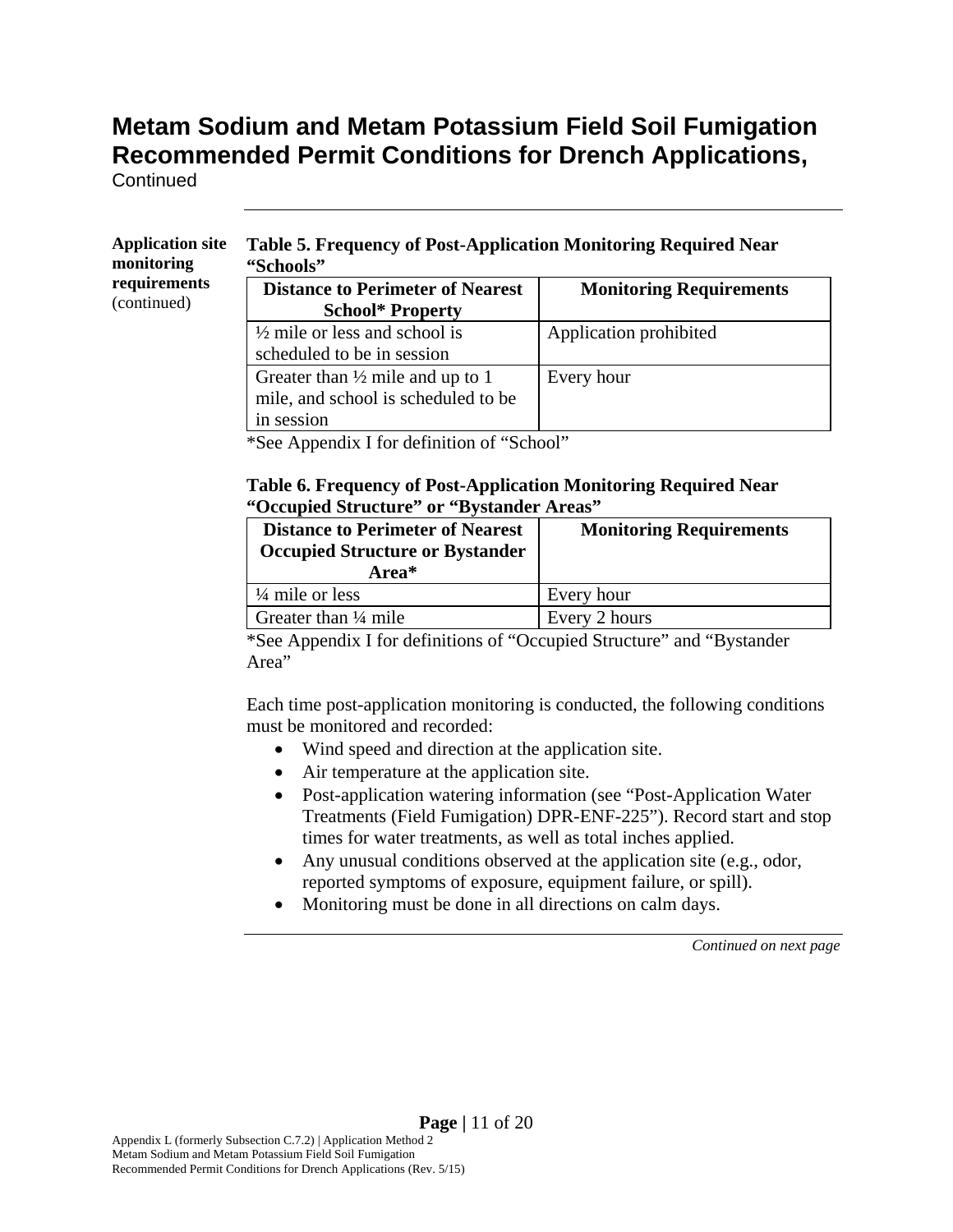**Continued** 

#### **Application site monitoring requirements**  (continued)

#### **Table 5. Frequency of Post-Application Monitoring Required Near "Schools"**

| <b>Distance to Perimeter of Nearest</b>     | <b>Monitoring Requirements</b> |
|---------------------------------------------|--------------------------------|
| <b>School* Property</b>                     |                                |
| $\frac{1}{2}$ mile or less and school is    | Application prohibited         |
| scheduled to be in session                  |                                |
| Greater than $\frac{1}{2}$ mile and up to 1 | Every hour                     |
| mile, and school is scheduled to be         |                                |
| in session                                  |                                |

\*See Appendix I for definition of "School"

#### **Table 6. Frequency of Post-Application Monitoring Required Near "Occupied Structure" or "Bystander Areas"**

| <b>Distance to Perimeter of Nearest</b><br><b>Occupied Structure or Bystander</b><br>Area* | <b>Monitoring Requirements</b> |  |  |  |  |  |
|--------------------------------------------------------------------------------------------|--------------------------------|--|--|--|--|--|
| $\frac{1}{4}$ mile or less                                                                 | Every hour                     |  |  |  |  |  |
| Greater than $\frac{1}{4}$ mile                                                            | Every 2 hours                  |  |  |  |  |  |

\*See Appendix I for definitions of "Occupied Structure" and "Bystander Area"

Each time post-application monitoring is conducted, the following conditions must be monitored and recorded:

- Wind speed and direction at the application site.
- Air temperature at the application site.
- Post-application watering information (see "Post-Application Water" Treatments (Field Fumigation) DPR-ENF-225"). Record start and stop times for water treatments, as well as total inches applied.
- Any unusual conditions observed at the application site (e.g., odor, reported symptoms of exposure, equipment failure, or spill).
- Monitoring must be done in all directions on calm days.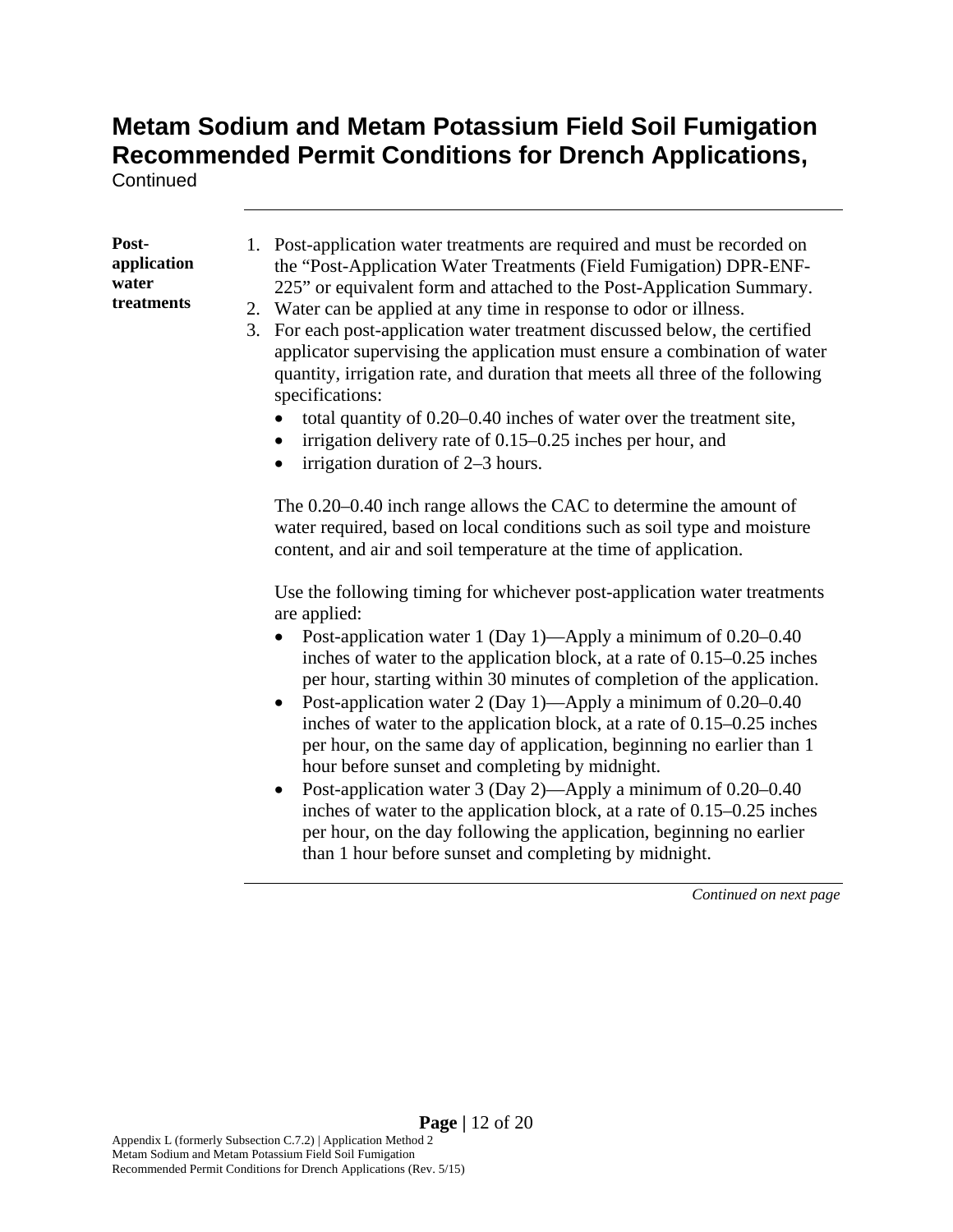**Continued** 

#### **Postapplication water treatments**

- 1. Post-application water treatments are required and must be recorded on the "Post-Application Water Treatments (Field Fumigation) DPR-ENF-225" or equivalent form and attached to the Post-Application Summary.
- 2. Water can be applied at any time in response to odor or illness.
- 3. For each post-application water treatment discussed below, the certified applicator supervising the application must ensure a combination of water quantity, irrigation rate, and duration that meets all three of the following specifications:
	- total quantity of 0.20–0.40 inches of water over the treatment site,
	- $\bullet$  irrigation delivery rate of 0.15–0.25 inches per hour, and
	- irrigation duration of 2–3 hours.

The 0.20–0.40 inch range allows the CAC to determine the amount of water required, based on local conditions such as soil type and moisture content, and air and soil temperature at the time of application.

Use the following timing for whichever post-application water treatments are applied:

- Post-application water 1 (Day 1)—Apply a minimum of 0.20–0.40 inches of water to the application block, at a rate of 0.15–0.25 inches per hour, starting within 30 minutes of completion of the application.
- Post-application water 2 (Day 1)—Apply a minimum of 0.20–0.40 inches of water to the application block, at a rate of 0.15–0.25 inches per hour, on the same day of application, beginning no earlier than 1 hour before sunset and completing by midnight.
- Post-application water 3 (Day 2)—Apply a minimum of 0.20–0.40 inches of water to the application block, at a rate of 0.15–0.25 inches per hour, on the day following the application, beginning no earlier than 1 hour before sunset and completing by midnight.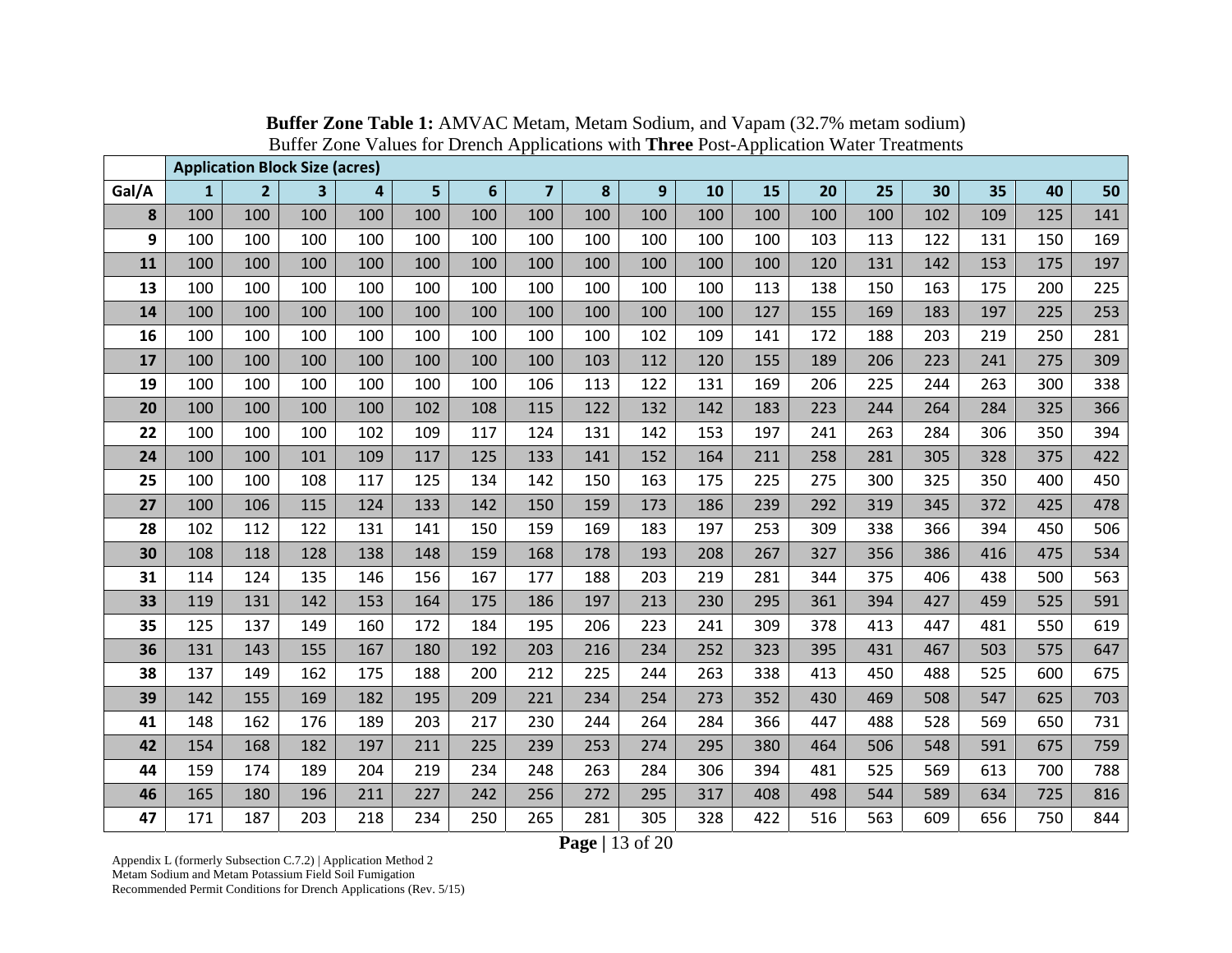|       |              | <b>Application Block Size (acres)</b> |                         |     |     |     |                |     |                |     |     |     |     |     |     |     |     |
|-------|--------------|---------------------------------------|-------------------------|-----|-----|-----|----------------|-----|----------------|-----|-----|-----|-----|-----|-----|-----|-----|
| Gal/A | $\mathbf{1}$ | 2 <sup>1</sup>                        | $\overline{\mathbf{3}}$ | 4   | 5   | 6   | $\overline{7}$ | 8   | 9 <sup>°</sup> | 10  | 15  | 20  | 25  | 30  | 35  | 40  | 50  |
| 8     | 100          | 100                                   | 100                     | 100 | 100 | 100 | 100            | 100 | 100            | 100 | 100 | 100 | 100 | 102 | 109 | 125 | 141 |
| 9     | 100          | 100                                   | 100                     | 100 | 100 | 100 | 100            | 100 | 100            | 100 | 100 | 103 | 113 | 122 | 131 | 150 | 169 |
| 11    | 100          | 100                                   | 100                     | 100 | 100 | 100 | 100            | 100 | 100            | 100 | 100 | 120 | 131 | 142 | 153 | 175 | 197 |
| 13    | 100          | 100                                   | 100                     | 100 | 100 | 100 | 100            | 100 | 100            | 100 | 113 | 138 | 150 | 163 | 175 | 200 | 225 |
| 14    | 100          | 100                                   | 100                     | 100 | 100 | 100 | 100            | 100 | 100            | 100 | 127 | 155 | 169 | 183 | 197 | 225 | 253 |
| 16    | 100          | 100                                   | 100                     | 100 | 100 | 100 | 100            | 100 | 102            | 109 | 141 | 172 | 188 | 203 | 219 | 250 | 281 |
| 17    | 100          | 100                                   | 100                     | 100 | 100 | 100 | 100            | 103 | 112            | 120 | 155 | 189 | 206 | 223 | 241 | 275 | 309 |
| 19    | 100          | 100                                   | 100                     | 100 | 100 | 100 | 106            | 113 | 122            | 131 | 169 | 206 | 225 | 244 | 263 | 300 | 338 |
| 20    | 100          | 100                                   | 100                     | 100 | 102 | 108 | 115            | 122 | 132            | 142 | 183 | 223 | 244 | 264 | 284 | 325 | 366 |
| 22    | 100          | 100                                   | 100                     | 102 | 109 | 117 | 124            | 131 | 142            | 153 | 197 | 241 | 263 | 284 | 306 | 350 | 394 |
| 24    | 100          | 100                                   | 101                     | 109 | 117 | 125 | 133            | 141 | 152            | 164 | 211 | 258 | 281 | 305 | 328 | 375 | 422 |
| 25    | 100          | 100                                   | 108                     | 117 | 125 | 134 | 142            | 150 | 163            | 175 | 225 | 275 | 300 | 325 | 350 | 400 | 450 |
| 27    | 100          | 106                                   | 115                     | 124 | 133 | 142 | 150            | 159 | 173            | 186 | 239 | 292 | 319 | 345 | 372 | 425 | 478 |
| 28    | 102          | 112                                   | 122                     | 131 | 141 | 150 | 159            | 169 | 183            | 197 | 253 | 309 | 338 | 366 | 394 | 450 | 506 |
| 30    | 108          | 118                                   | 128                     | 138 | 148 | 159 | 168            | 178 | 193            | 208 | 267 | 327 | 356 | 386 | 416 | 475 | 534 |
| 31    | 114          | 124                                   | 135                     | 146 | 156 | 167 | 177            | 188 | 203            | 219 | 281 | 344 | 375 | 406 | 438 | 500 | 563 |
| 33    | 119          | 131                                   | 142                     | 153 | 164 | 175 | 186            | 197 | 213            | 230 | 295 | 361 | 394 | 427 | 459 | 525 | 591 |
| 35    | 125          | 137                                   | 149                     | 160 | 172 | 184 | 195            | 206 | 223            | 241 | 309 | 378 | 413 | 447 | 481 | 550 | 619 |
| 36    | 131          | 143                                   | 155                     | 167 | 180 | 192 | 203            | 216 | 234            | 252 | 323 | 395 | 431 | 467 | 503 | 575 | 647 |
| 38    | 137          | 149                                   | 162                     | 175 | 188 | 200 | 212            | 225 | 244            | 263 | 338 | 413 | 450 | 488 | 525 | 600 | 675 |
| 39    | 142          | 155                                   | 169                     | 182 | 195 | 209 | 221            | 234 | 254            | 273 | 352 | 430 | 469 | 508 | 547 | 625 | 703 |
| 41    | 148          | 162                                   | 176                     | 189 | 203 | 217 | 230            | 244 | 264            | 284 | 366 | 447 | 488 | 528 | 569 | 650 | 731 |
| 42    | 154          | 168                                   | 182                     | 197 | 211 | 225 | 239            | 253 | 274            | 295 | 380 | 464 | 506 | 548 | 591 | 675 | 759 |
| 44    | 159          | 174                                   | 189                     | 204 | 219 | 234 | 248            | 263 | 284            | 306 | 394 | 481 | 525 | 569 | 613 | 700 | 788 |
| 46    | 165          | 180                                   | 196                     | 211 | 227 | 242 | 256            | 272 | 295            | 317 | 408 | 498 | 544 | 589 | 634 | 725 | 816 |
| 47    | 171          | 187                                   | 203                     | 218 | 234 | 250 | 265            | 281 | 305            | 328 | 422 | 516 | 563 | 609 | 656 | 750 | 844 |

**Buffer Zone Table 1:** AMVAC Metam, Metam Sodium, and Vapam (32.7% metam sodium) Buffer Zone Values for Drench Applications with **Three** Post-Application Water Treatments

**Page |** 13 of 20

Appendix L (formerly Subsection C.7.2) | Application Method 2 Metam Sodium and Metam Potassium Field Soil Fumigation Recommended Permit Conditions for Drench Applications (Rev. 5/15)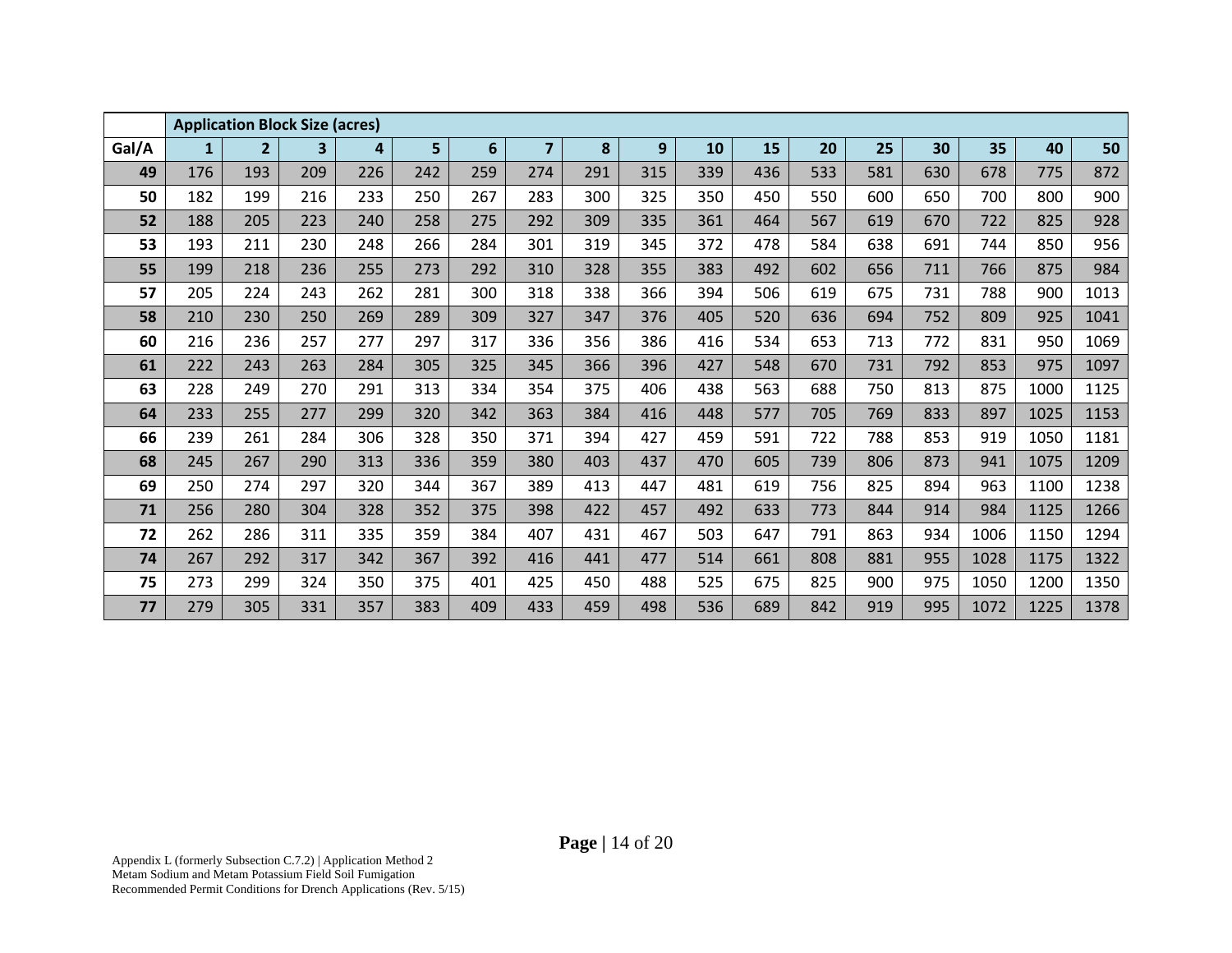|       |              | <b>Application Block Size (acres)</b> |     |     |     |     |                |     |     |     |     |     |     |     |      |      |      |
|-------|--------------|---------------------------------------|-----|-----|-----|-----|----------------|-----|-----|-----|-----|-----|-----|-----|------|------|------|
| Gal/A | $\mathbf{1}$ | 2 <sup>2</sup>                        | 3   | 4   | 5   | 6   | $\overline{7}$ | 8   | 9   | 10  | 15  | 20  | 25  | 30  | 35   | 40   | 50   |
| 49    | 176          | 193                                   | 209 | 226 | 242 | 259 | 274            | 291 | 315 | 339 | 436 | 533 | 581 | 630 | 678  | 775  | 872  |
| 50    | 182          | 199                                   | 216 | 233 | 250 | 267 | 283            | 300 | 325 | 350 | 450 | 550 | 600 | 650 | 700  | 800  | 900  |
| 52    | 188          | 205                                   | 223 | 240 | 258 | 275 | 292            | 309 | 335 | 361 | 464 | 567 | 619 | 670 | 722  | 825  | 928  |
| 53    | 193          | 211                                   | 230 | 248 | 266 | 284 | 301            | 319 | 345 | 372 | 478 | 584 | 638 | 691 | 744  | 850  | 956  |
| 55    | 199          | 218                                   | 236 | 255 | 273 | 292 | 310            | 328 | 355 | 383 | 492 | 602 | 656 | 711 | 766  | 875  | 984  |
| 57    | 205          | 224                                   | 243 | 262 | 281 | 300 | 318            | 338 | 366 | 394 | 506 | 619 | 675 | 731 | 788  | 900  | 1013 |
| 58    | 210          | 230                                   | 250 | 269 | 289 | 309 | 327            | 347 | 376 | 405 | 520 | 636 | 694 | 752 | 809  | 925  | 1041 |
| 60    | 216          | 236                                   | 257 | 277 | 297 | 317 | 336            | 356 | 386 | 416 | 534 | 653 | 713 | 772 | 831  | 950  | 1069 |
| 61    | 222          | 243                                   | 263 | 284 | 305 | 325 | 345            | 366 | 396 | 427 | 548 | 670 | 731 | 792 | 853  | 975  | 1097 |
| 63    | 228          | 249                                   | 270 | 291 | 313 | 334 | 354            | 375 | 406 | 438 | 563 | 688 | 750 | 813 | 875  | 1000 | 1125 |
| 64    | 233          | 255                                   | 277 | 299 | 320 | 342 | 363            | 384 | 416 | 448 | 577 | 705 | 769 | 833 | 897  | 1025 | 1153 |
| 66    | 239          | 261                                   | 284 | 306 | 328 | 350 | 371            | 394 | 427 | 459 | 591 | 722 | 788 | 853 | 919  | 1050 | 1181 |
| 68    | 245          | 267                                   | 290 | 313 | 336 | 359 | 380            | 403 | 437 | 470 | 605 | 739 | 806 | 873 | 941  | 1075 | 1209 |
| 69    | 250          | 274                                   | 297 | 320 | 344 | 367 | 389            | 413 | 447 | 481 | 619 | 756 | 825 | 894 | 963  | 1100 | 1238 |
| 71    | 256          | 280                                   | 304 | 328 | 352 | 375 | 398            | 422 | 457 | 492 | 633 | 773 | 844 | 914 | 984  | 1125 | 1266 |
| 72    | 262          | 286                                   | 311 | 335 | 359 | 384 | 407            | 431 | 467 | 503 | 647 | 791 | 863 | 934 | 1006 | 1150 | 1294 |
| 74    | 267          | 292                                   | 317 | 342 | 367 | 392 | 416            | 441 | 477 | 514 | 661 | 808 | 881 | 955 | 1028 | 1175 | 1322 |
| 75    | 273          | 299                                   | 324 | 350 | 375 | 401 | 425            | 450 | 488 | 525 | 675 | 825 | 900 | 975 | 1050 | 1200 | 1350 |
| 77    | 279          | 305                                   | 331 | 357 | 383 | 409 | 433            | 459 | 498 | 536 | 689 | 842 | 919 | 995 | 1072 | 1225 | 1378 |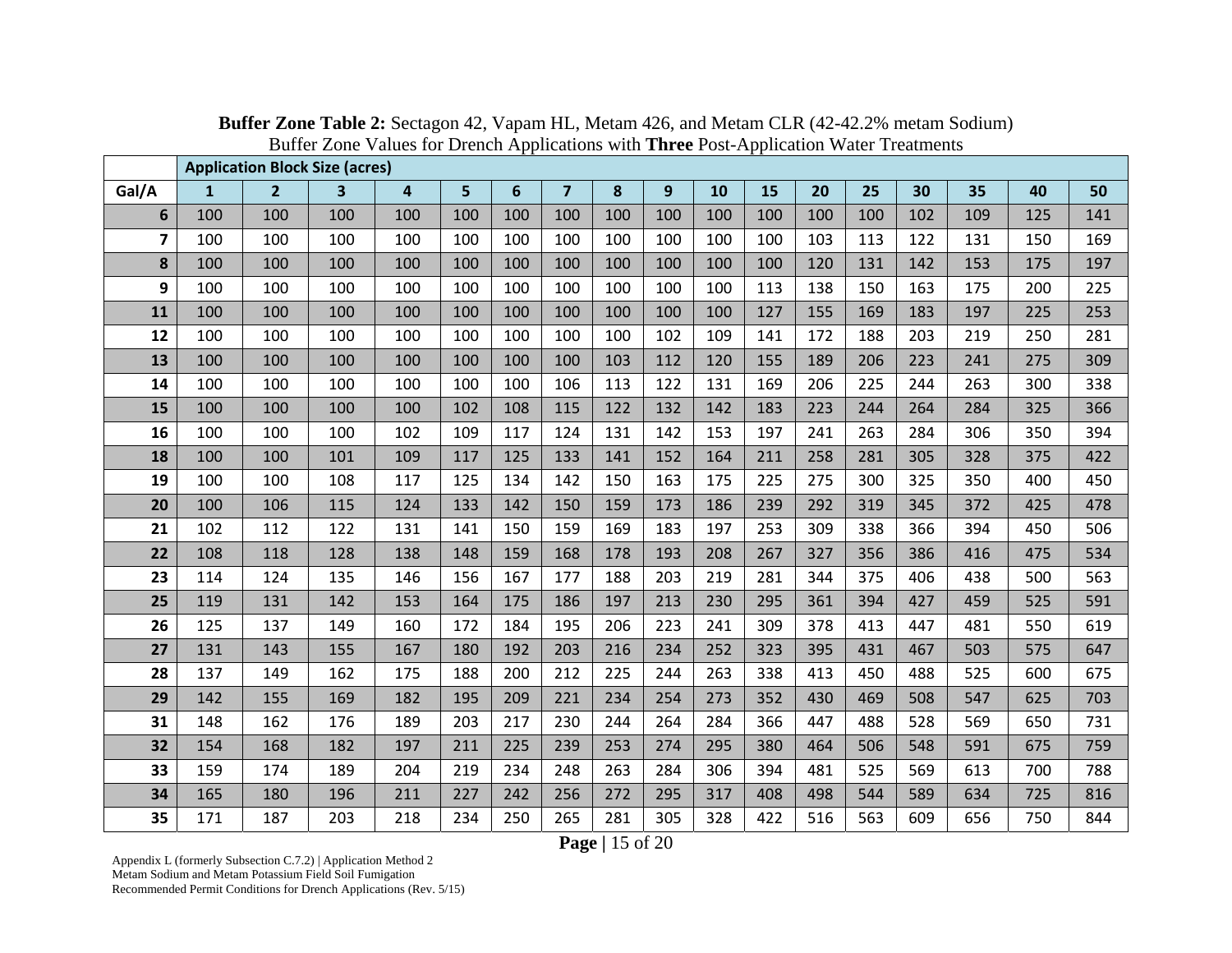|                         |              | <b>Application Block Size (acres)</b> |     |     |     |                |                         |     |     |     |     |     |     |     |     |     |     |
|-------------------------|--------------|---------------------------------------|-----|-----|-----|----------------|-------------------------|-----|-----|-----|-----|-----|-----|-----|-----|-----|-----|
| Gal/A                   | $\mathbf{1}$ | 2 <sup>2</sup>                        | 3   | 4   | 5   | $6\phantom{1}$ | $\overline{\mathbf{z}}$ | 8   | 9   | 10  | 15  | 20  | 25  | 30  | 35  | 40  | 50  |
| 6                       | 100          | 100                                   | 100 | 100 | 100 | 100            | 100                     | 100 | 100 | 100 | 100 | 100 | 100 | 102 | 109 | 125 | 141 |
| $\overline{\mathbf{z}}$ | 100          | 100                                   | 100 | 100 | 100 | 100            | 100                     | 100 | 100 | 100 | 100 | 103 | 113 | 122 | 131 | 150 | 169 |
| $\pmb{8}$               | 100          | 100                                   | 100 | 100 | 100 | 100            | 100                     | 100 | 100 | 100 | 100 | 120 | 131 | 142 | 153 | 175 | 197 |
| 9                       | 100          | 100                                   | 100 | 100 | 100 | 100            | 100                     | 100 | 100 | 100 | 113 | 138 | 150 | 163 | 175 | 200 | 225 |
| 11                      | 100          | 100                                   | 100 | 100 | 100 | 100            | 100                     | 100 | 100 | 100 | 127 | 155 | 169 | 183 | 197 | 225 | 253 |
| 12                      | 100          | 100                                   | 100 | 100 | 100 | 100            | 100                     | 100 | 102 | 109 | 141 | 172 | 188 | 203 | 219 | 250 | 281 |
| 13                      | 100          | 100                                   | 100 | 100 | 100 | 100            | 100                     | 103 | 112 | 120 | 155 | 189 | 206 | 223 | 241 | 275 | 309 |
| 14                      | 100          | 100                                   | 100 | 100 | 100 | 100            | 106                     | 113 | 122 | 131 | 169 | 206 | 225 | 244 | 263 | 300 | 338 |
| 15                      | 100          | 100                                   | 100 | 100 | 102 | 108            | 115                     | 122 | 132 | 142 | 183 | 223 | 244 | 264 | 284 | 325 | 366 |
| 16                      | 100          | 100                                   | 100 | 102 | 109 | 117            | 124                     | 131 | 142 | 153 | 197 | 241 | 263 | 284 | 306 | 350 | 394 |
| 18                      | 100          | 100                                   | 101 | 109 | 117 | 125            | 133                     | 141 | 152 | 164 | 211 | 258 | 281 | 305 | 328 | 375 | 422 |
| 19                      | 100          | 100                                   | 108 | 117 | 125 | 134            | 142                     | 150 | 163 | 175 | 225 | 275 | 300 | 325 | 350 | 400 | 450 |
| 20                      | 100          | 106                                   | 115 | 124 | 133 | 142            | 150                     | 159 | 173 | 186 | 239 | 292 | 319 | 345 | 372 | 425 | 478 |
| 21                      | 102          | 112                                   | 122 | 131 | 141 | 150            | 159                     | 169 | 183 | 197 | 253 | 309 | 338 | 366 | 394 | 450 | 506 |
| 22                      | 108          | 118                                   | 128 | 138 | 148 | 159            | 168                     | 178 | 193 | 208 | 267 | 327 | 356 | 386 | 416 | 475 | 534 |
| 23                      | 114          | 124                                   | 135 | 146 | 156 | 167            | 177                     | 188 | 203 | 219 | 281 | 344 | 375 | 406 | 438 | 500 | 563 |
| 25                      | 119          | 131                                   | 142 | 153 | 164 | 175            | 186                     | 197 | 213 | 230 | 295 | 361 | 394 | 427 | 459 | 525 | 591 |
| 26                      | 125          | 137                                   | 149 | 160 | 172 | 184            | 195                     | 206 | 223 | 241 | 309 | 378 | 413 | 447 | 481 | 550 | 619 |
| 27                      | 131          | 143                                   | 155 | 167 | 180 | 192            | 203                     | 216 | 234 | 252 | 323 | 395 | 431 | 467 | 503 | 575 | 647 |
| 28                      | 137          | 149                                   | 162 | 175 | 188 | 200            | 212                     | 225 | 244 | 263 | 338 | 413 | 450 | 488 | 525 | 600 | 675 |
| 29                      | 142          | 155                                   | 169 | 182 | 195 | 209            | 221                     | 234 | 254 | 273 | 352 | 430 | 469 | 508 | 547 | 625 | 703 |
| 31                      | 148          | 162                                   | 176 | 189 | 203 | 217            | 230                     | 244 | 264 | 284 | 366 | 447 | 488 | 528 | 569 | 650 | 731 |
| 32                      | 154          | 168                                   | 182 | 197 | 211 | 225            | 239                     | 253 | 274 | 295 | 380 | 464 | 506 | 548 | 591 | 675 | 759 |
| 33                      | 159          | 174                                   | 189 | 204 | 219 | 234            | 248                     | 263 | 284 | 306 | 394 | 481 | 525 | 569 | 613 | 700 | 788 |
| 34                      | 165          | 180                                   | 196 | 211 | 227 | 242            | 256                     | 272 | 295 | 317 | 408 | 498 | 544 | 589 | 634 | 725 | 816 |
| 35                      | 171          | 187                                   | 203 | 218 | 234 | 250            | 265                     | 281 | 305 | 328 | 422 | 516 | 563 | 609 | 656 | 750 | 844 |

**Buffer Zone Table 2:** Sectagon 42, Vapam HL, Metam 426, and Metam CLR (42-42.2% metam Sodium) Buffer Zone Values for Drench Applications with **Three** Post-Application Water Treatments

**Page |** 15 of 20

Appendix L (formerly Subsection C.7.2) | Application Method 2 Metam Sodium and Metam Potassium Field Soil Fumigation Recommended Permit Conditions for Drench Applications (Rev. 5/15)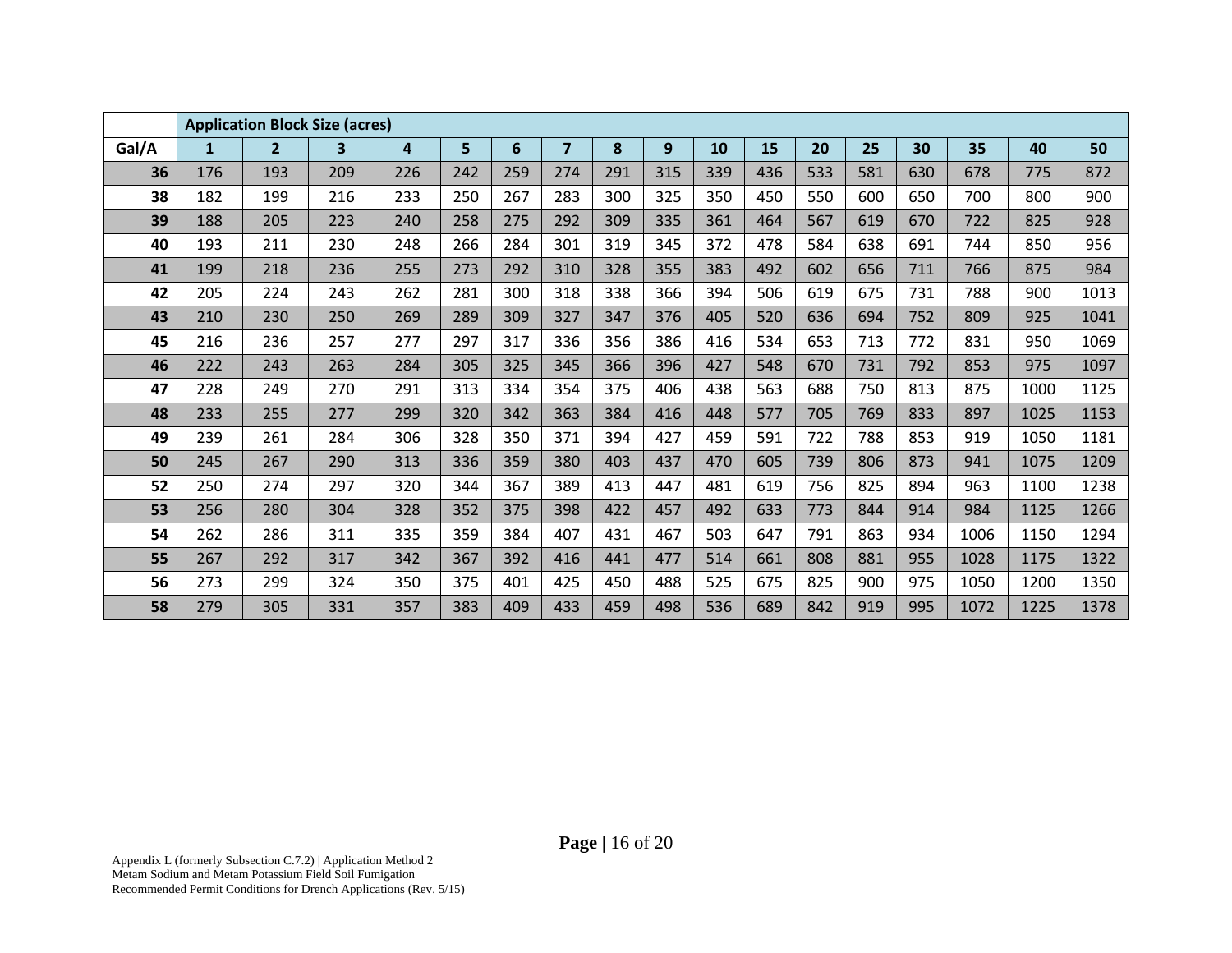|       |              | <b>Application Block Size (acres)</b> |                         |     |                |     |                |     |     |     |     |     |     |     |      |      |      |
|-------|--------------|---------------------------------------|-------------------------|-----|----------------|-----|----------------|-----|-----|-----|-----|-----|-----|-----|------|------|------|
| Gal/A | $\mathbf{1}$ | $\overline{2}$                        | $\overline{\mathbf{3}}$ | 4   | $5\phantom{a}$ | 6   | $\overline{7}$ | 8   | 9   | 10  | 15  | 20  | 25  | 30  | 35   | 40   | 50   |
| 36    | 176          | 193                                   | 209                     | 226 | 242            | 259 | 274            | 291 | 315 | 339 | 436 | 533 | 581 | 630 | 678  | 775  | 872  |
| 38    | 182          | 199                                   | 216                     | 233 | 250            | 267 | 283            | 300 | 325 | 350 | 450 | 550 | 600 | 650 | 700  | 800  | 900  |
| 39    | 188          | 205                                   | 223                     | 240 | 258            | 275 | 292            | 309 | 335 | 361 | 464 | 567 | 619 | 670 | 722  | 825  | 928  |
| 40    | 193          | 211                                   | 230                     | 248 | 266            | 284 | 301            | 319 | 345 | 372 | 478 | 584 | 638 | 691 | 744  | 850  | 956  |
| 41    | 199          | 218                                   | 236                     | 255 | 273            | 292 | 310            | 328 | 355 | 383 | 492 | 602 | 656 | 711 | 766  | 875  | 984  |
| 42    | 205          | 224                                   | 243                     | 262 | 281            | 300 | 318            | 338 | 366 | 394 | 506 | 619 | 675 | 731 | 788  | 900  | 1013 |
| 43    | 210          | 230                                   | 250                     | 269 | 289            | 309 | 327            | 347 | 376 | 405 | 520 | 636 | 694 | 752 | 809  | 925  | 1041 |
| 45    | 216          | 236                                   | 257                     | 277 | 297            | 317 | 336            | 356 | 386 | 416 | 534 | 653 | 713 | 772 | 831  | 950  | 1069 |
| 46    | 222          | 243                                   | 263                     | 284 | 305            | 325 | 345            | 366 | 396 | 427 | 548 | 670 | 731 | 792 | 853  | 975  | 1097 |
| 47    | 228          | 249                                   | 270                     | 291 | 313            | 334 | 354            | 375 | 406 | 438 | 563 | 688 | 750 | 813 | 875  | 1000 | 1125 |
| 48    | 233          | 255                                   | 277                     | 299 | 320            | 342 | 363            | 384 | 416 | 448 | 577 | 705 | 769 | 833 | 897  | 1025 | 1153 |
| 49    | 239          | 261                                   | 284                     | 306 | 328            | 350 | 371            | 394 | 427 | 459 | 591 | 722 | 788 | 853 | 919  | 1050 | 1181 |
| 50    | 245          | 267                                   | 290                     | 313 | 336            | 359 | 380            | 403 | 437 | 470 | 605 | 739 | 806 | 873 | 941  | 1075 | 1209 |
| 52    | 250          | 274                                   | 297                     | 320 | 344            | 367 | 389            | 413 | 447 | 481 | 619 | 756 | 825 | 894 | 963  | 1100 | 1238 |
| 53    | 256          | 280                                   | 304                     | 328 | 352            | 375 | 398            | 422 | 457 | 492 | 633 | 773 | 844 | 914 | 984  | 1125 | 1266 |
| 54    | 262          | 286                                   | 311                     | 335 | 359            | 384 | 407            | 431 | 467 | 503 | 647 | 791 | 863 | 934 | 1006 | 1150 | 1294 |
| 55    | 267          | 292                                   | 317                     | 342 | 367            | 392 | 416            | 441 | 477 | 514 | 661 | 808 | 881 | 955 | 1028 | 1175 | 1322 |
| 56    | 273          | 299                                   | 324                     | 350 | 375            | 401 | 425            | 450 | 488 | 525 | 675 | 825 | 900 | 975 | 1050 | 1200 | 1350 |
| 58    | 279          | 305                                   | 331                     | 357 | 383            | 409 | 433            | 459 | 498 | 536 | 689 | 842 | 919 | 995 | 1072 | 1225 | 1378 |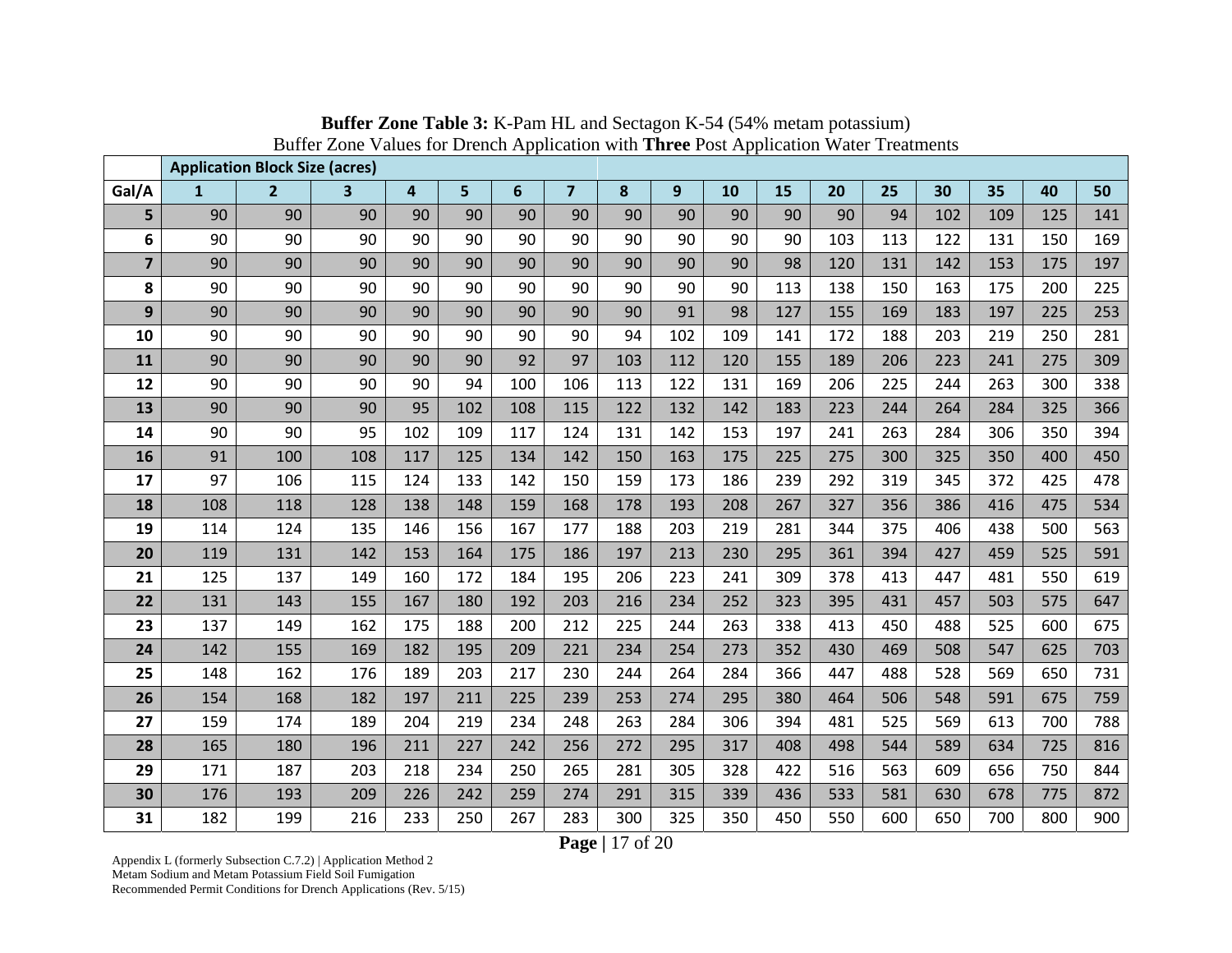|                         |              | <b>Application Block Size (acres)</b> |     |     |     |     |                         |     |     |     |     |     |     |     |     |     |     |
|-------------------------|--------------|---------------------------------------|-----|-----|-----|-----|-------------------------|-----|-----|-----|-----|-----|-----|-----|-----|-----|-----|
| Gal/A                   | $\mathbf{1}$ | $\overline{2}$                        | 3   | 4   | 5   | 6   | $\overline{\mathbf{z}}$ | 8   | 9   | 10  | 15  | 20  | 25  | 30  | 35  | 40  | 50  |
| 5                       | 90           | 90                                    | 90  | 90  | 90  | 90  | 90                      | 90  | 90  | 90  | 90  | 90  | 94  | 102 | 109 | 125 | 141 |
| 6                       | 90           | 90                                    | 90  | 90  | 90  | 90  | 90                      | 90  | 90  | 90  | 90  | 103 | 113 | 122 | 131 | 150 | 169 |
| $\overline{\mathbf{z}}$ | 90           | 90                                    | 90  | 90  | 90  | 90  | 90                      | 90  | 90  | 90  | 98  | 120 | 131 | 142 | 153 | 175 | 197 |
| 8                       | 90           | 90                                    | 90  | 90  | 90  | 90  | 90                      | 90  | 90  | 90  | 113 | 138 | 150 | 163 | 175 | 200 | 225 |
| 9                       | 90           | 90                                    | 90  | 90  | 90  | 90  | 90                      | 90  | 91  | 98  | 127 | 155 | 169 | 183 | 197 | 225 | 253 |
| 10                      | 90           | 90                                    | 90  | 90  | 90  | 90  | 90                      | 94  | 102 | 109 | 141 | 172 | 188 | 203 | 219 | 250 | 281 |
| 11                      | 90           | 90                                    | 90  | 90  | 90  | 92  | 97                      | 103 | 112 | 120 | 155 | 189 | 206 | 223 | 241 | 275 | 309 |
| 12                      | 90           | 90                                    | 90  | 90  | 94  | 100 | 106                     | 113 | 122 | 131 | 169 | 206 | 225 | 244 | 263 | 300 | 338 |
| 13                      | 90           | 90                                    | 90  | 95  | 102 | 108 | 115                     | 122 | 132 | 142 | 183 | 223 | 244 | 264 | 284 | 325 | 366 |
| 14                      | 90           | 90                                    | 95  | 102 | 109 | 117 | 124                     | 131 | 142 | 153 | 197 | 241 | 263 | 284 | 306 | 350 | 394 |
| 16                      | 91           | 100                                   | 108 | 117 | 125 | 134 | 142                     | 150 | 163 | 175 | 225 | 275 | 300 | 325 | 350 | 400 | 450 |
| 17                      | 97           | 106                                   | 115 | 124 | 133 | 142 | 150                     | 159 | 173 | 186 | 239 | 292 | 319 | 345 | 372 | 425 | 478 |
| 18                      | 108          | 118                                   | 128 | 138 | 148 | 159 | 168                     | 178 | 193 | 208 | 267 | 327 | 356 | 386 | 416 | 475 | 534 |
| 19                      | 114          | 124                                   | 135 | 146 | 156 | 167 | 177                     | 188 | 203 | 219 | 281 | 344 | 375 | 406 | 438 | 500 | 563 |
| 20                      | 119          | 131                                   | 142 | 153 | 164 | 175 | 186                     | 197 | 213 | 230 | 295 | 361 | 394 | 427 | 459 | 525 | 591 |
| 21                      | 125          | 137                                   | 149 | 160 | 172 | 184 | 195                     | 206 | 223 | 241 | 309 | 378 | 413 | 447 | 481 | 550 | 619 |
| 22                      | 131          | 143                                   | 155 | 167 | 180 | 192 | 203                     | 216 | 234 | 252 | 323 | 395 | 431 | 457 | 503 | 575 | 647 |
| 23                      | 137          | 149                                   | 162 | 175 | 188 | 200 | 212                     | 225 | 244 | 263 | 338 | 413 | 450 | 488 | 525 | 600 | 675 |
| 24                      | 142          | 155                                   | 169 | 182 | 195 | 209 | 221                     | 234 | 254 | 273 | 352 | 430 | 469 | 508 | 547 | 625 | 703 |
| 25                      | 148          | 162                                   | 176 | 189 | 203 | 217 | 230                     | 244 | 264 | 284 | 366 | 447 | 488 | 528 | 569 | 650 | 731 |
| 26                      | 154          | 168                                   | 182 | 197 | 211 | 225 | 239                     | 253 | 274 | 295 | 380 | 464 | 506 | 548 | 591 | 675 | 759 |
| 27                      | 159          | 174                                   | 189 | 204 | 219 | 234 | 248                     | 263 | 284 | 306 | 394 | 481 | 525 | 569 | 613 | 700 | 788 |
| 28                      | 165          | 180                                   | 196 | 211 | 227 | 242 | 256                     | 272 | 295 | 317 | 408 | 498 | 544 | 589 | 634 | 725 | 816 |
| 29                      | 171          | 187                                   | 203 | 218 | 234 | 250 | 265                     | 281 | 305 | 328 | 422 | 516 | 563 | 609 | 656 | 750 | 844 |
| 30                      | 176          | 193                                   | 209 | 226 | 242 | 259 | 274                     | 291 | 315 | 339 | 436 | 533 | 581 | 630 | 678 | 775 | 872 |
| 31                      | 182          | 199                                   | 216 | 233 | 250 | 267 | 283                     | 300 | 325 | 350 | 450 | 550 | 600 | 650 | 700 | 800 | 900 |

**Buffer Zone Table 3:** K-Pam HL and Sectagon K-54 (54% metam potassium) Buffer Zone Values for Drench Application with **Three** Post Application Water Treatments

**Page |** 17 of 20

Appendix L (formerly Subsection C.7.2) | Application Method 2 Metam Sodium and Metam Potassium Field Soil Fumigation Recommended Permit Conditions for Drench Applications (Rev. 5/15)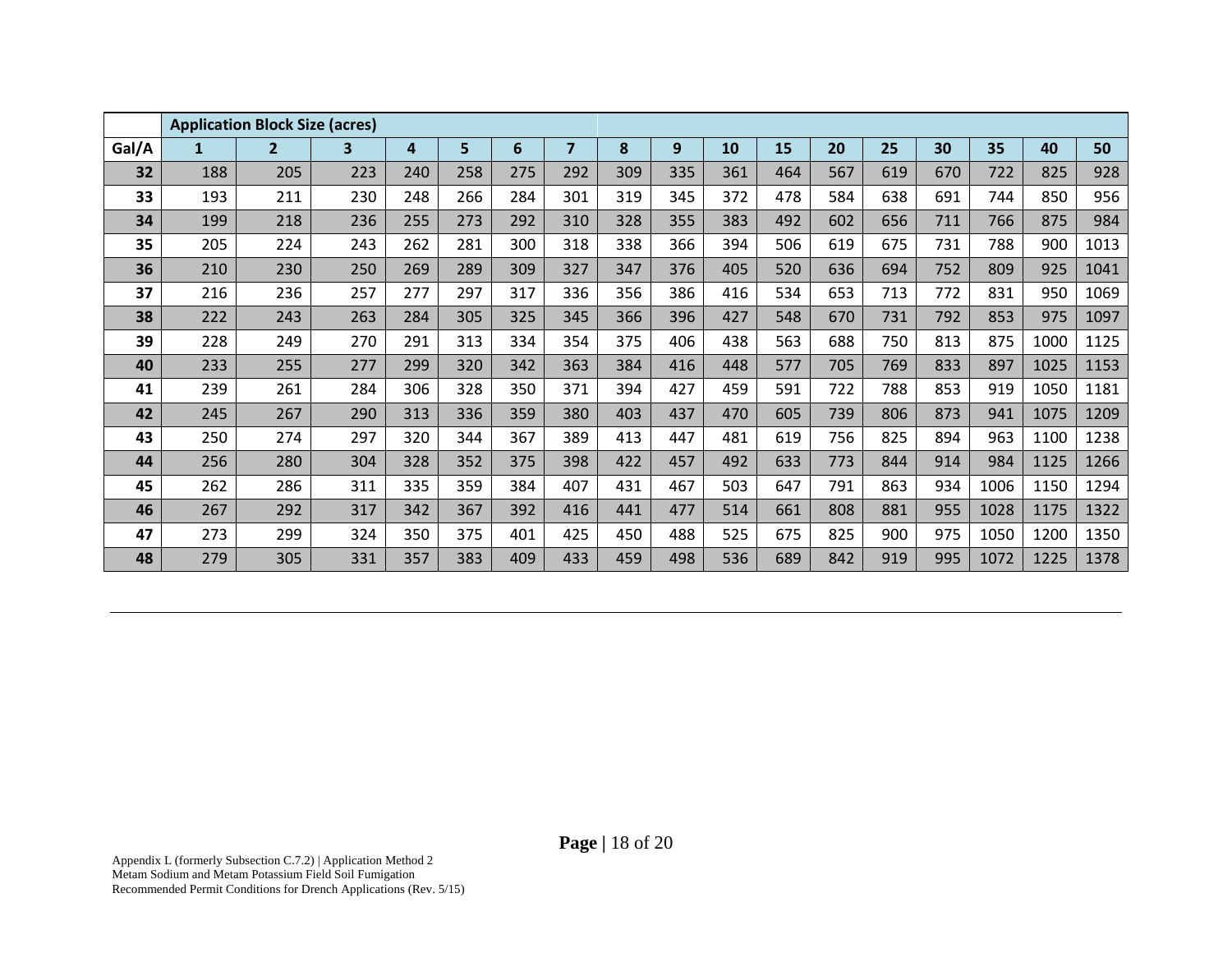|       |     | <b>Application Block Size (acres)</b> |     |     |     |     |                |     |     |     |     |     |     |     |      |      |      |
|-------|-----|---------------------------------------|-----|-----|-----|-----|----------------|-----|-----|-----|-----|-----|-----|-----|------|------|------|
| Gal/A | 1   | $\overline{2}$                        | 3   | 4   | 5   | 6   | $\overline{7}$ | 8   | 9   | 10  | 15  | 20  | 25  | 30  | 35   | 40   | 50   |
| 32    | 188 | 205                                   | 223 | 240 | 258 | 275 | 292            | 309 | 335 | 361 | 464 | 567 | 619 | 670 | 722  | 825  | 928  |
| 33    | 193 | 211                                   | 230 | 248 | 266 | 284 | 301            | 319 | 345 | 372 | 478 | 584 | 638 | 691 | 744  | 850  | 956  |
| 34    | 199 | 218                                   | 236 | 255 | 273 | 292 | 310            | 328 | 355 | 383 | 492 | 602 | 656 | 711 | 766  | 875  | 984  |
| 35    | 205 | 224                                   | 243 | 262 | 281 | 300 | 318            | 338 | 366 | 394 | 506 | 619 | 675 | 731 | 788  | 900  | 1013 |
| 36    | 210 | 230                                   | 250 | 269 | 289 | 309 | 327            | 347 | 376 | 405 | 520 | 636 | 694 | 752 | 809  | 925  | 1041 |
| 37    | 216 | 236                                   | 257 | 277 | 297 | 317 | 336            | 356 | 386 | 416 | 534 | 653 | 713 | 772 | 831  | 950  | 1069 |
| 38    | 222 | 243                                   | 263 | 284 | 305 | 325 | 345            | 366 | 396 | 427 | 548 | 670 | 731 | 792 | 853  | 975  | 1097 |
| 39    | 228 | 249                                   | 270 | 291 | 313 | 334 | 354            | 375 | 406 | 438 | 563 | 688 | 750 | 813 | 875  | 1000 | 1125 |
| 40    | 233 | 255                                   | 277 | 299 | 320 | 342 | 363            | 384 | 416 | 448 | 577 | 705 | 769 | 833 | 897  | 1025 | 1153 |
| 41    | 239 | 261                                   | 284 | 306 | 328 | 350 | 371            | 394 | 427 | 459 | 591 | 722 | 788 | 853 | 919  | 1050 | 1181 |
| 42    | 245 | 267                                   | 290 | 313 | 336 | 359 | 380            | 403 | 437 | 470 | 605 | 739 | 806 | 873 | 941  | 1075 | 1209 |
| 43    | 250 | 274                                   | 297 | 320 | 344 | 367 | 389            | 413 | 447 | 481 | 619 | 756 | 825 | 894 | 963  | 1100 | 1238 |
| 44    | 256 | 280                                   | 304 | 328 | 352 | 375 | 398            | 422 | 457 | 492 | 633 | 773 | 844 | 914 | 984  | 1125 | 1266 |
| 45    | 262 | 286                                   | 311 | 335 | 359 | 384 | 407            | 431 | 467 | 503 | 647 | 791 | 863 | 934 | 1006 | 1150 | 1294 |
| 46    | 267 | 292                                   | 317 | 342 | 367 | 392 | 416            | 441 | 477 | 514 | 661 | 808 | 881 | 955 | 1028 | 1175 | 1322 |
| 47    | 273 | 299                                   | 324 | 350 | 375 | 401 | 425            | 450 | 488 | 525 | 675 | 825 | 900 | 975 | 1050 | 1200 | 1350 |
| 48    | 279 | 305                                   | 331 | 357 | 383 | 409 | 433            | 459 | 498 | 536 | 689 | 842 | 919 | 995 | 1072 | 1225 | 1378 |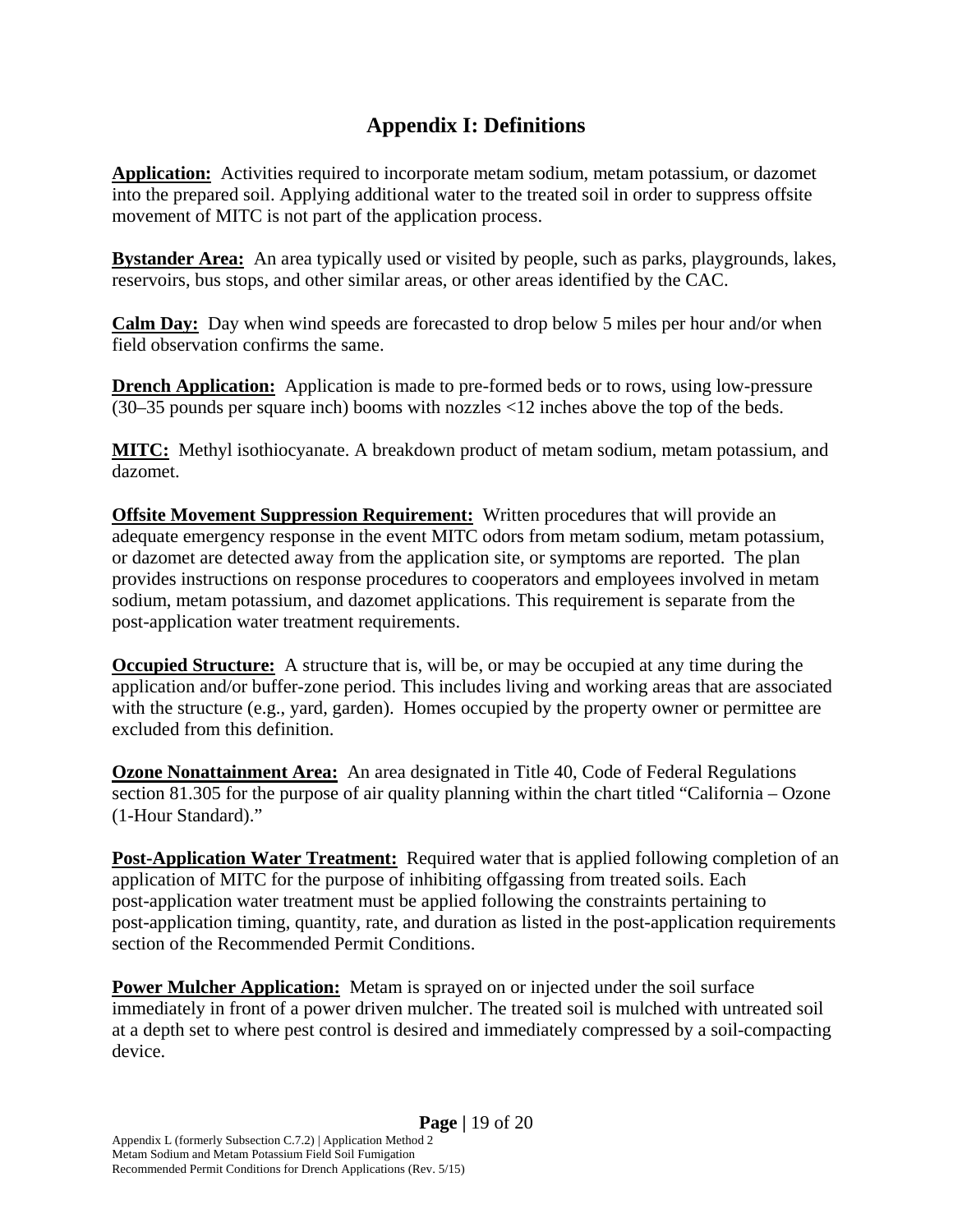#### **Appendix I: Definitions**

**Application:** Activities required to incorporate metam sodium, metam potassium, or dazomet into the prepared soil. Applying additional water to the treated soil in order to suppress offsite movement of MITC is not part of the application process.

**Bystander Area:** An area typically used or visited by people, such as parks, playgrounds, lakes, reservoirs, bus stops, and other similar areas, or other areas identified by the CAC.

**Calm Day:** Day when wind speeds are forecasted to drop below 5 miles per hour and/or when field observation confirms the same.

**Drench Application:** Application is made to pre-formed beds or to rows, using low-pressure (30–35 pounds per square inch) booms with nozzles <12 inches above the top of the beds.

**MITC:** Methyl isothiocyanate. A breakdown product of metam sodium, metam potassium, and dazomet.

**Offsite Movement Suppression Requirement:** Written procedures that will provide an adequate emergency response in the event MITC odors from metam sodium, metam potassium, or dazomet are detected away from the application site, or symptoms are reported. The plan provides instructions on response procedures to cooperators and employees involved in metam sodium, metam potassium, and dazomet applications. This requirement is separate from the post-application water treatment requirements.

**Occupied Structure:** A structure that is, will be, or may be occupied at any time during the application and/or buffer-zone period. This includes living and working areas that are associated with the structure (e.g., yard, garden). Homes occupied by the property owner or permittee are excluded from this definition.

**Ozone Nonattainment Area:** An area designated in Title 40, Code of Federal Regulations section 81.305 for the purpose of air quality planning within the chart titled "California – Ozone (1-Hour Standard)."

**Post-Application Water Treatment:** Required water that is applied following completion of an application of MITC for the purpose of inhibiting offgassing from treated soils. Each post-application water treatment must be applied following the constraints pertaining to post-application timing, quantity, rate, and duration as listed in the post-application requirements section of the Recommended Permit Conditions.

**Power Mulcher Application:** Metam is sprayed on or injected under the soil surface immediately in front of a power driven mulcher. The treated soil is mulched with untreated soil at a depth set to where pest control is desired and immediately compressed by a soil-compacting device.

Recommended Permit Conditions for Drench Applications (Rev. 5/15)